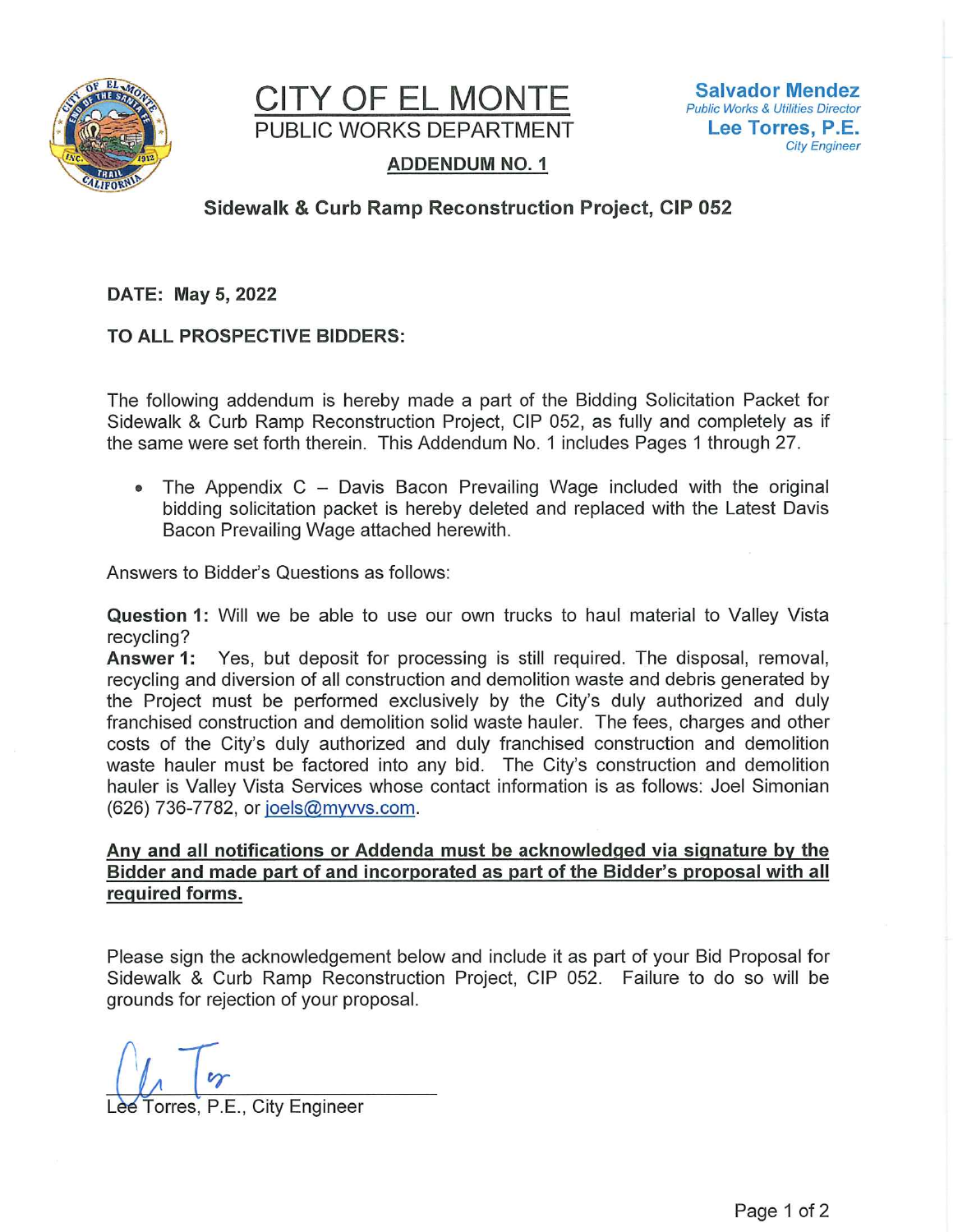



# **ADDENDUM NO. 1**

# **Sidewalk & Curb Ramp Reconstruction Project, CIP 052**

DATE: May 5, 2022

TO ALL PROSPECTIVE BIDDERS:

The following addendum is hereby made a part of the Bidding Solicitation Packet for Sidewalk & Curb Ramp Reconstruction Project, CIP 052, as fully and completely as if the same were set forth therein. This Addendum No. 1 includes Pages 1 through 27.

The Appendix  $C -$  Davis Bacon Prevailing Wage included with the original  $\bullet$ bidding solicitation packet is hereby deleted and replaced with the Latest Davis Bacon Prevailing Wage attached herewith.

Answers to Bidder's Questions as follows:

Question 1: Will we be able to use our own trucks to haul material to Valley Vista recycling?

Answer 1: Yes, but deposit for processing is still required. The disposal, removal, recycling and diversion of all construction and demolition waste and debris generated by the Project must be performed exclusively by the City's duly authorized and duly franchised construction and demolition solid waste hauler. The fees, charges and other costs of the City's duly authorized and duly franchised construction and demolition waste hauler must be factored into any bid. The City's construction and demolition hauler is Valley Vista Services whose contact information is as follows: Joel Simonian (626) 736-7782, or joels@myvvs.com.

## Any and all notifications or Addenda must be acknowledged via signature by the Bidder and made part of and incorporated as part of the Bidder's proposal with all required forms.

Please sign the acknowledgement below and include it as part of your Bid Proposal for Sidewalk & Curb Ramp Reconstruction Project, CIP 052. Failure to do so will be grounds for rejection of your proposal.

Torres, P.E., City Engineer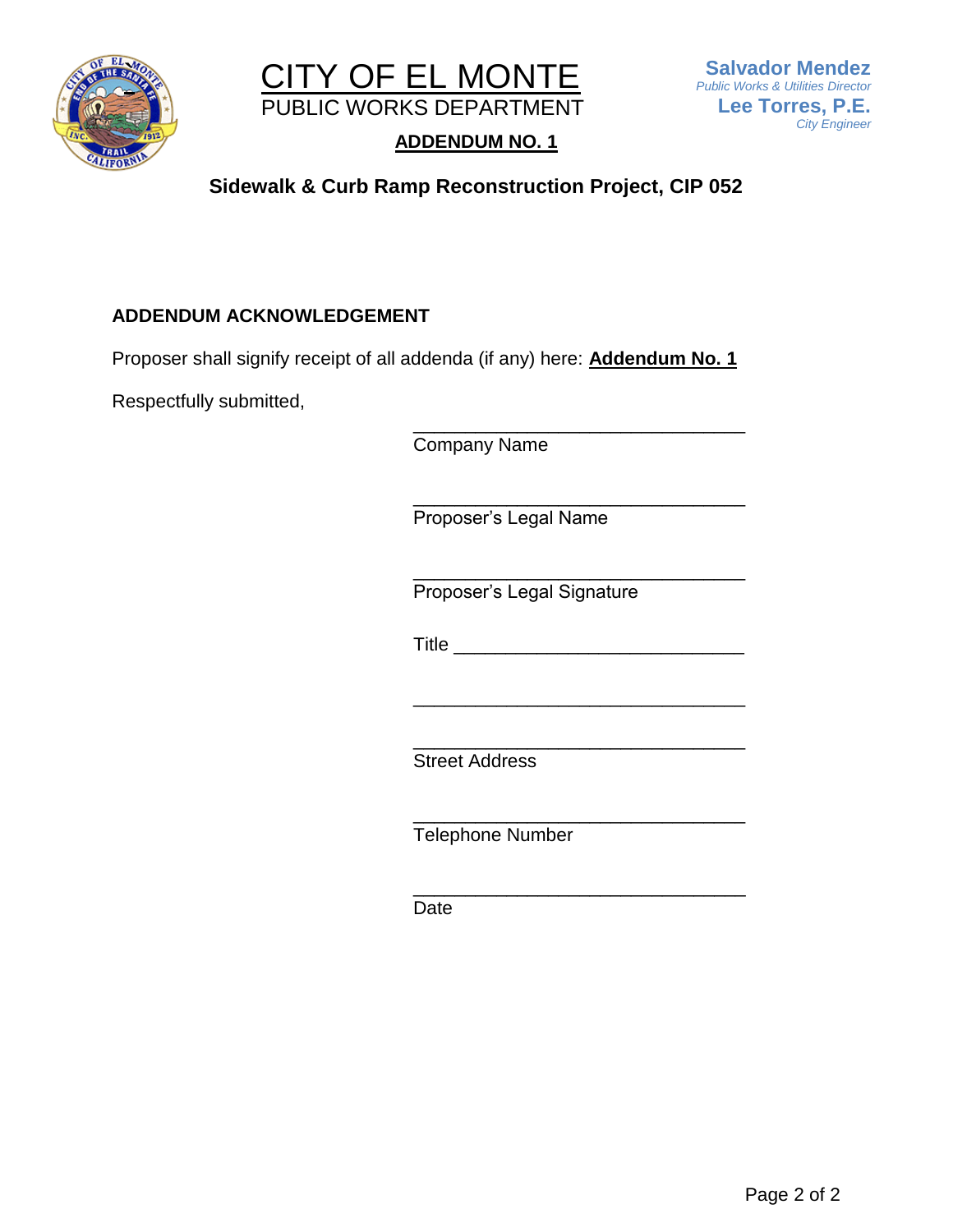



# **ADDENDUM NO. 1**

# **Sidewalk & Curb Ramp Reconstruction Project, CIP 052**

# **ADDENDUM ACKNOWLEDGEMENT**

Proposer shall signify receipt of all addenda (if any) here: **Addendum No. 1**

Respectfully submitted,

Company Name

\_\_\_\_\_\_\_\_\_\_\_\_\_\_\_\_\_\_\_\_\_\_\_\_\_\_\_\_\_\_\_\_ Proposer's Legal Name

\_\_\_\_\_\_\_\_\_\_\_\_\_\_\_\_\_\_\_\_\_\_\_\_\_\_\_\_\_\_\_\_ Proposer's Legal Signature

 $\blacksquare$  Title

\_\_\_\_\_\_\_\_\_\_\_\_\_\_\_\_\_\_\_\_\_\_\_\_\_\_\_\_\_\_\_\_

\_\_\_\_\_\_\_\_\_\_\_\_\_\_\_\_\_\_\_\_\_\_\_\_\_\_\_\_\_\_\_\_

\_\_\_\_\_\_\_\_\_\_\_\_\_\_\_\_\_\_\_\_\_\_\_\_\_\_\_\_\_\_\_\_

\_\_\_\_\_\_\_\_\_\_\_\_\_\_\_\_\_\_\_\_\_\_\_\_\_\_\_\_\_\_\_\_ Street Address

\_\_\_\_\_\_\_\_\_\_\_\_\_\_\_\_\_\_\_\_\_\_\_\_\_\_\_\_\_\_\_\_ Telephone Number

Date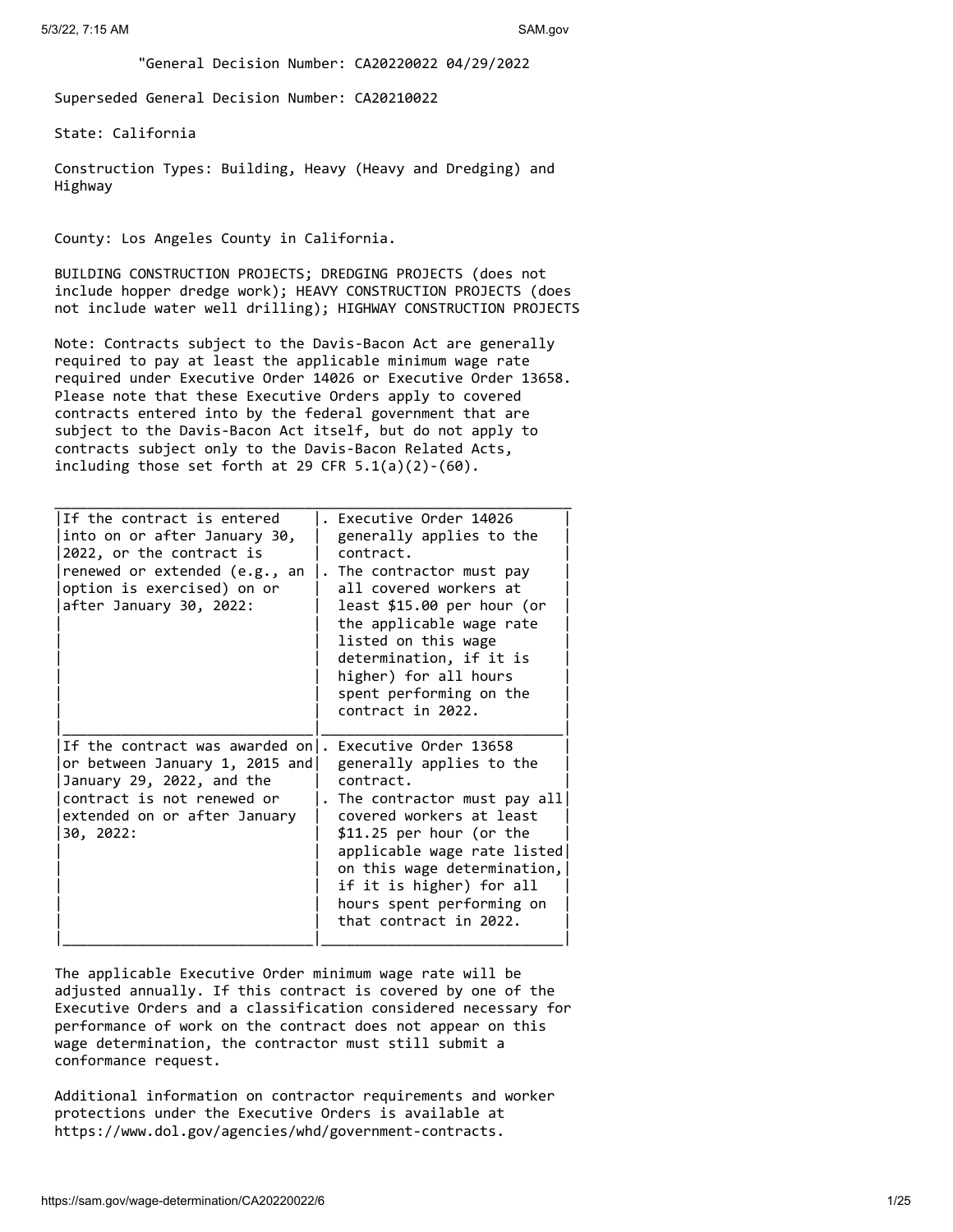"General Decision Number: CA20220022 04/29/2022

Superseded General Decision Number: CA20210022

State: California

Construction Types: Building, Heavy (Heavy and Dredging) and Highway

County: Los Angeles County in California.

BUILDING CONSTRUCTION PROJECTS; DREDGING PROJECTS (does not include hopper dredge work); HEAVY CONSTRUCTION PROJECTS (does not include water well drilling); HIGHWAY CONSTRUCTION PROJECTS

Note: Contracts subject to the Davis-Bacon Act are generally required to pay at least the applicable minimum wage rate required under Executive Order 14026 or Executive Order 13658. Please note that these Executive Orders apply to covered contracts entered into by the federal government that are subject to the Davis-Bacon Act itself, but do not apply to contracts subject only to the Davis-Bacon Related Acts, including those set forth at 29 CFR  $5.1(a)(2)-(60)$ .

| If the contract is entered<br>into on or after January 30,<br>2022, or the contract is<br>renewed or extended (e.g., an<br>option is exercised) on or<br>after January 30, 2022: | Executive Order 14026<br>generally applies to the<br>contract.<br>. The contractor must pay<br>all covered workers at<br>least \$15.00 per hour (or<br>the applicable wage rate<br>listed on this wage<br>determination, if it is<br>higher) for all hours<br>spent performing on the<br>contract in 2022. |
|----------------------------------------------------------------------------------------------------------------------------------------------------------------------------------|------------------------------------------------------------------------------------------------------------------------------------------------------------------------------------------------------------------------------------------------------------------------------------------------------------|
| If the contract was awarded on .<br>or between January 1, 2015 and<br>January 29, 2022, and the<br>contract is not renewed or<br>extended on or after January<br>30, 2022:       | Executive Order 13658<br>generally applies to the<br>contract.<br>. The contractor must pay all<br>covered workers at least<br>$$11.25$ per hour (or the<br>applicable wage rate listed<br>on this wage determination,<br>if it is higher) for all<br>hours spent performing on<br>that contract in 2022.  |

The applicable Executive Order minimum wage rate will be adjusted annually. If this contract is covered by one of the Executive Orders and a classification considered necessary for performance of work on the contract does not appear on this wage determination, the contractor must still submit a conformance request.

Additional information on contractor requirements and worker protections under the Executive Orders is available at https://www.dol.gov/agencies/whd/government-contracts.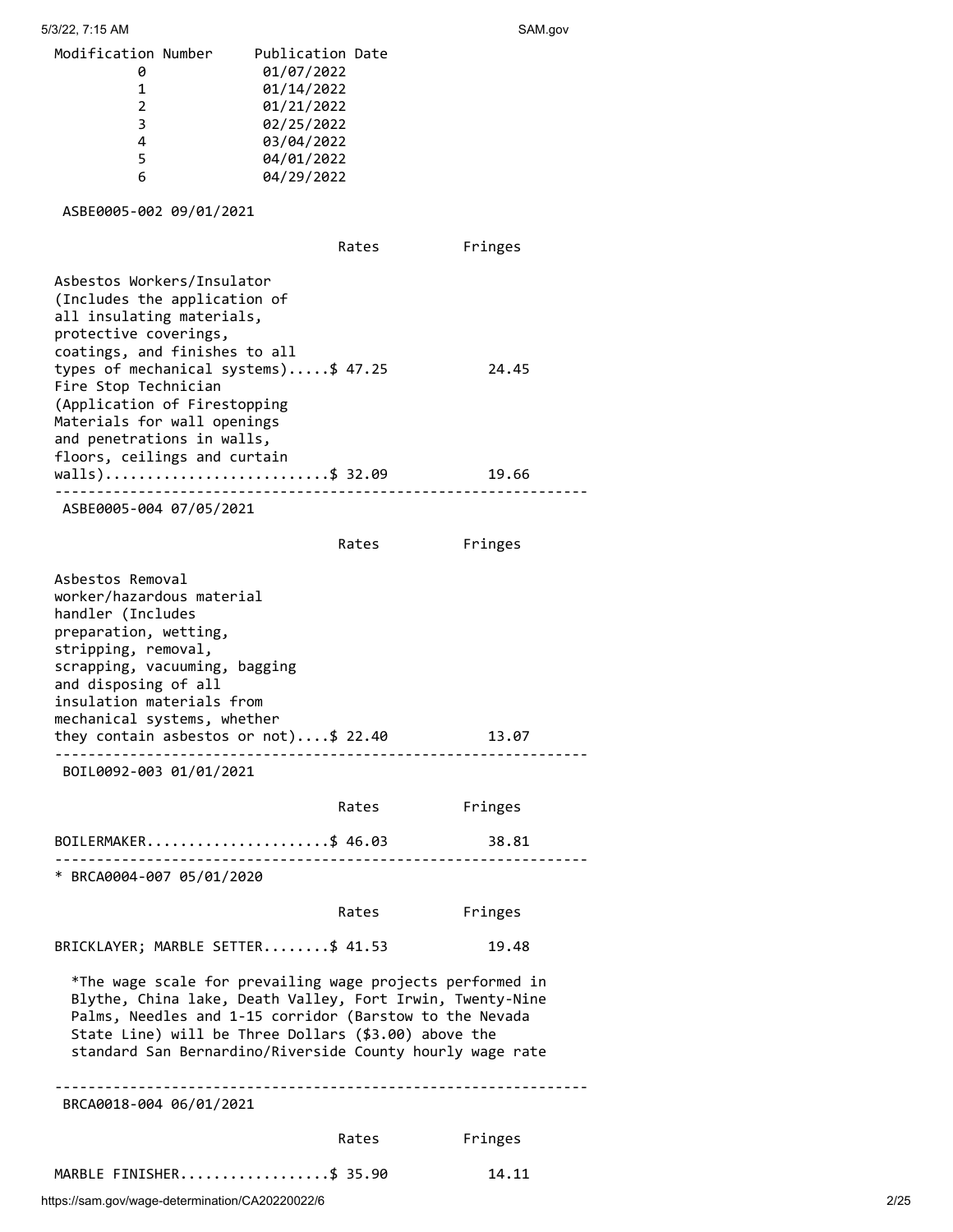5/3/22, 7:15 AM SAM.gov

| Modification Number | Publication Date |  |
|---------------------|------------------|--|
|                     | 01/07/2022       |  |
|                     | 01/14/2022       |  |
| $\mathcal{P}$       | 01/21/2022       |  |
| З                   | 02/25/2022       |  |
| 4                   | 03/04/2022       |  |
| 5                   | 04/01/2022       |  |
| 6                   | 04/29/2022       |  |
|                     |                  |  |

ASBE0005-002 09/01/2021

|                              | Rates | Fringes |
|------------------------------|-------|---------|
| Asbestos Workers/Insulator   |       |         |
| (Includes the application of |       |         |

| all insulating materials,<br>protective coverings, |       |
|----------------------------------------------------|-------|
| coatings, and finishes to all                      |       |
| types of mechanical systems)\$ 47.25               | 24.45 |
| Fire Stop Technician                               |       |
| (Application of Firestopping                       |       |
| Materials for wall openings                        |       |
| and penetrations in walls,                         |       |
| floors, ceilings and curtain                       |       |
| walls)\$ 32.09                                     | 19.66 |
|                                                    |       |

ASBE0005-004 07/05/2021

|                                                                                                                                                                                                                                                                                                        | Rates | Fringes |  |
|--------------------------------------------------------------------------------------------------------------------------------------------------------------------------------------------------------------------------------------------------------------------------------------------------------|-------|---------|--|
| Asbestos Removal<br>worker/hazardous material<br>handler (Includes<br>preparation, wetting,<br>stripping, removal,<br>scrapping, vacuuming, bagging<br>and disposing of all<br>insulation materials from<br>mechanical systems, whether<br>they contain asbestos or $not) \dots $ 22.40$               |       | 13.07   |  |
| BOIL0092-003 01/01/2021                                                                                                                                                                                                                                                                                |       |         |  |
|                                                                                                                                                                                                                                                                                                        | Rates | Fringes |  |
| BOILERMAKER\$ 46.03                                                                                                                                                                                                                                                                                    |       | 38.81   |  |
| * BRCA0004-007 05/01/2020                                                                                                                                                                                                                                                                              |       |         |  |
|                                                                                                                                                                                                                                                                                                        | Rates | Fringes |  |
| BRICKLAYER; MARBLE SETTER\$ 41.53                                                                                                                                                                                                                                                                      |       | 19.48   |  |
| *The wage scale for prevailing wage projects performed in<br>Blythe, China lake, Death Valley, Fort Irwin, Twenty-Nine<br>Palms, Needles and 1-15 corridor (Barstow to the Nevada<br>State Line) will be Three Dollars (\$3.00) above the<br>standard San Bernardino/Riverside County hourly wage rate |       |         |  |
| BRCA0018-004 06/01/2021                                                                                                                                                                                                                                                                                |       |         |  |
|                                                                                                                                                                                                                                                                                                        | Rates | Fringes |  |
| MARBLE FINISHER\$ 35.90                                                                                                                                                                                                                                                                                |       | 14.11   |  |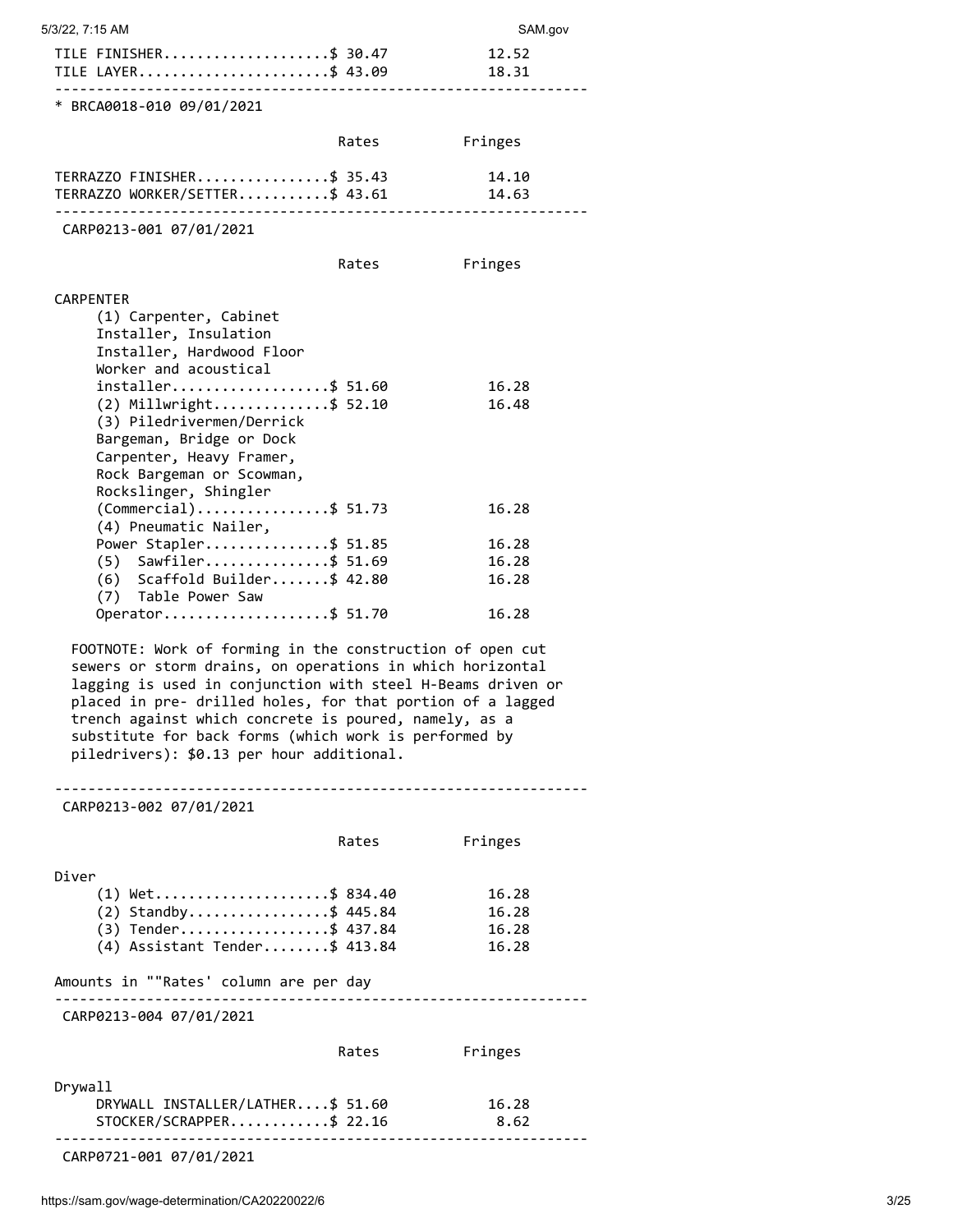| 5/3/22, 7:15 AM                                                                                                                                                                                                                                                                                                                                                                                                    |               | SAM.gov                         |
|--------------------------------------------------------------------------------------------------------------------------------------------------------------------------------------------------------------------------------------------------------------------------------------------------------------------------------------------------------------------------------------------------------------------|---------------|---------------------------------|
| TILE FINISHER\$ 30.47<br>TILE LAYER\$ 43.09                                                                                                                                                                                                                                                                                                                                                                        |               | 12.52<br>18.31                  |
| * BRCA0018-010 09/01/2021                                                                                                                                                                                                                                                                                                                                                                                          |               |                                 |
|                                                                                                                                                                                                                                                                                                                                                                                                                    | Rates         | Fringes                         |
| TERRAZZO FINISHER\$ 35.43<br>TERRAZZO WORKER/SETTER\$ 43.61                                                                                                                                                                                                                                                                                                                                                        |               | 14.10<br>14.63                  |
| CARP0213-001 07/01/2021                                                                                                                                                                                                                                                                                                                                                                                            |               |                                 |
|                                                                                                                                                                                                                                                                                                                                                                                                                    | Rates Fringes |                                 |
| CARPENTER                                                                                                                                                                                                                                                                                                                                                                                                          |               |                                 |
| (1) Carpenter, Cabinet<br>Installer, Insulation<br>Installer, Hardwood Floor<br>Worker and acoustical                                                                                                                                                                                                                                                                                                              |               |                                 |
| installer\$ 51.60                                                                                                                                                                                                                                                                                                                                                                                                  |               | 16.28                           |
| $(2)$ Millwright\$ 52.10<br>(3) Piledrivermen/Derrick<br>Bargeman, Bridge or Dock<br>Carpenter, Heavy Framer,<br>Rock Bargeman or Scowman,<br>Rockslinger, Shingler                                                                                                                                                                                                                                                |               | 16.48                           |
| $(Comment1)$ \$ 51.73<br>(4) Pneumatic Nailer,                                                                                                                                                                                                                                                                                                                                                                     |               | 16.28                           |
| Power Stapler\$ 51.85                                                                                                                                                                                                                                                                                                                                                                                              |               | 16.28                           |
| $(5)$ Sawfiler\$ 51.69<br>$(6)$ Scaffold Builder\$ 42.80                                                                                                                                                                                                                                                                                                                                                           |               | 16.28<br>16.28                  |
| (7) Table Power Saw<br>Operator\$ 51.70                                                                                                                                                                                                                                                                                                                                                                            |               | 16.28                           |
| FOOTNOTE: Work of forming in the construction of open cut<br>sewers or storm drains, on operations in which horizontal<br>lagging is used in conjunction with steel H-Beams driven or<br>placed in pre- drilled holes, for that portion of a lagged<br>trench against which concrete is poured, namely, as a<br>substitute for back forms (which work is performed by<br>piledrivers): \$0.13 per hour additional. |               |                                 |
|                                                                                                                                                                                                                                                                                                                                                                                                                    |               |                                 |
| CARP0213-002 07/01/2021                                                                                                                                                                                                                                                                                                                                                                                            |               |                                 |
|                                                                                                                                                                                                                                                                                                                                                                                                                    | Rates         | Fringes                         |
| Diver                                                                                                                                                                                                                                                                                                                                                                                                              |               |                                 |
| $(1)$ Wet\$ 834.40                                                                                                                                                                                                                                                                                                                                                                                                 |               | 16.28                           |
| $(2)$ Standby\$ 445.84<br>$(3)$ Tender\$ 437.84                                                                                                                                                                                                                                                                                                                                                                    |               | 16.28<br>16.28                  |
| $(4)$ Assistant Tender\$ 413.84                                                                                                                                                                                                                                                                                                                                                                                    |               | 16.28                           |
| Amounts in ""Rates' column are per day                                                                                                                                                                                                                                                                                                                                                                             |               |                                 |
| . <u>.</u> .<br>CARP0213-004 07/01/2021                                                                                                                                                                                                                                                                                                                                                                            |               | <u>------------------------</u> |
|                                                                                                                                                                                                                                                                                                                                                                                                                    | Rates         | Fringes                         |
|                                                                                                                                                                                                                                                                                                                                                                                                                    |               |                                 |
| Drywall<br>DRYWALL INSTALLER/LATHER\$ 51.60<br>STOCKER/SCRAPPER\$ 22.16                                                                                                                                                                                                                                                                                                                                            |               | 16.28<br>8.62                   |
| CARP0721-001 07/01/2021                                                                                                                                                                                                                                                                                                                                                                                            |               |                                 |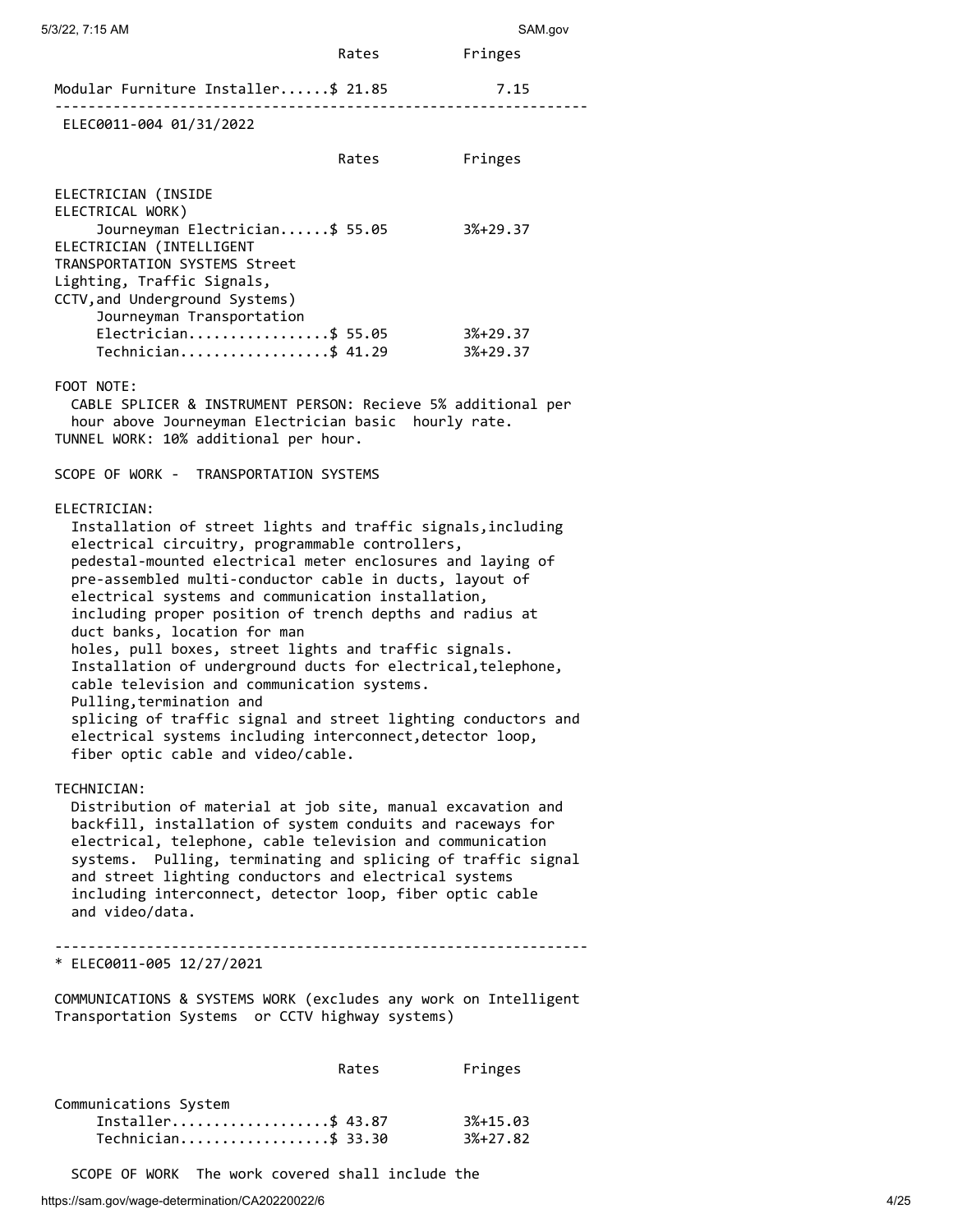| 5/3/22, 7:15 AM                                                                                                                                                                                                                                                                                                                                                                                                                                                                                                                                                                                                                                                                                                                                                                    |       | SAM.gov                    |
|------------------------------------------------------------------------------------------------------------------------------------------------------------------------------------------------------------------------------------------------------------------------------------------------------------------------------------------------------------------------------------------------------------------------------------------------------------------------------------------------------------------------------------------------------------------------------------------------------------------------------------------------------------------------------------------------------------------------------------------------------------------------------------|-------|----------------------------|
|                                                                                                                                                                                                                                                                                                                                                                                                                                                                                                                                                                                                                                                                                                                                                                                    | Rates | Fringes                    |
| Modular Furniture Installer\$ 21.85                                                                                                                                                                                                                                                                                                                                                                                                                                                                                                                                                                                                                                                                                                                                                |       | 7.15                       |
| ELEC0011-004 01/31/2022                                                                                                                                                                                                                                                                                                                                                                                                                                                                                                                                                                                                                                                                                                                                                            |       |                            |
|                                                                                                                                                                                                                                                                                                                                                                                                                                                                                                                                                                                                                                                                                                                                                                                    | Rates | Fringes                    |
| ELECTRICIAN (INSIDE<br>ELECTRICAL WORK)                                                                                                                                                                                                                                                                                                                                                                                                                                                                                                                                                                                                                                                                                                                                            |       |                            |
| Journeyman Electrician\$ 55.05<br>ELECTRICIAN (INTELLIGENT<br>TRANSPORTATION SYSTEMS Street<br>Lighting, Traffic Signals,<br>CCTV, and Underground Systems)<br>Journeyman Transportation                                                                                                                                                                                                                                                                                                                                                                                                                                                                                                                                                                                           |       | $3%+29.37$                 |
| Electrician\$ 55.05<br>Technician\$ 41.29                                                                                                                                                                                                                                                                                                                                                                                                                                                                                                                                                                                                                                                                                                                                          |       | 3%+29.37<br>$3%+29.37$     |
| FOOT NOTE:                                                                                                                                                                                                                                                                                                                                                                                                                                                                                                                                                                                                                                                                                                                                                                         |       |                            |
| CABLE SPLICER & INSTRUMENT PERSON: Recieve 5% additional per<br>hour above Journeyman Electrician basic hourly rate.<br>TUNNEL WORK: 10% additional per hour.                                                                                                                                                                                                                                                                                                                                                                                                                                                                                                                                                                                                                      |       |                            |
| SCOPE OF WORK - TRANSPORTATION SYSTEMS                                                                                                                                                                                                                                                                                                                                                                                                                                                                                                                                                                                                                                                                                                                                             |       |                            |
| ELECTRICIAN:<br>Installation of street lights and traffic signals, including<br>electrical circuitry, programmable controllers,<br>pedestal-mounted electrical meter enclosures and laying of<br>pre-assembled multi-conductor cable in ducts, layout of<br>electrical systems and communication installation,<br>including proper position of trench depths and radius at<br>duct banks, location for man<br>holes, pull boxes, street lights and traffic signals.<br>Installation of underground ducts for electrical, telephone,<br>cable television and communication systems.<br>Pulling, termination and<br>splicing of traffic signal and street lighting conductors and<br>electrical systems including interconnect, detector loop,<br>fiber optic cable and video/cable. |       |                            |
| TECHNICIAN:<br>Distribution of material at job site, manual excavation and<br>backfill, installation of system conduits and raceways for<br>electrical, telephone, cable television and communication<br>systems. Pulling, terminating and splicing of traffic signal<br>and street lighting conductors and electrical systems<br>including interconnect, detector loop, fiber optic cable<br>and video/data.                                                                                                                                                                                                                                                                                                                                                                      |       |                            |
| * ELEC0011-005 12/27/2021                                                                                                                                                                                                                                                                                                                                                                                                                                                                                                                                                                                                                                                                                                                                                          |       |                            |
| COMMUNICATIONS & SYSTEMS WORK (excludes any work on Intelligent<br>Transportation Systems or CCTV highway systems)                                                                                                                                                                                                                                                                                                                                                                                                                                                                                                                                                                                                                                                                 |       |                            |
|                                                                                                                                                                                                                                                                                                                                                                                                                                                                                                                                                                                                                                                                                                                                                                                    | Rates | Fringes                    |
| Communications System<br>Installer\$ 43.87<br>Technician\$ 33.30                                                                                                                                                                                                                                                                                                                                                                                                                                                                                                                                                                                                                                                                                                                   |       | $3% + 15.03$<br>$3%+27.82$ |

SCOPE OF WORK The work covered shall include the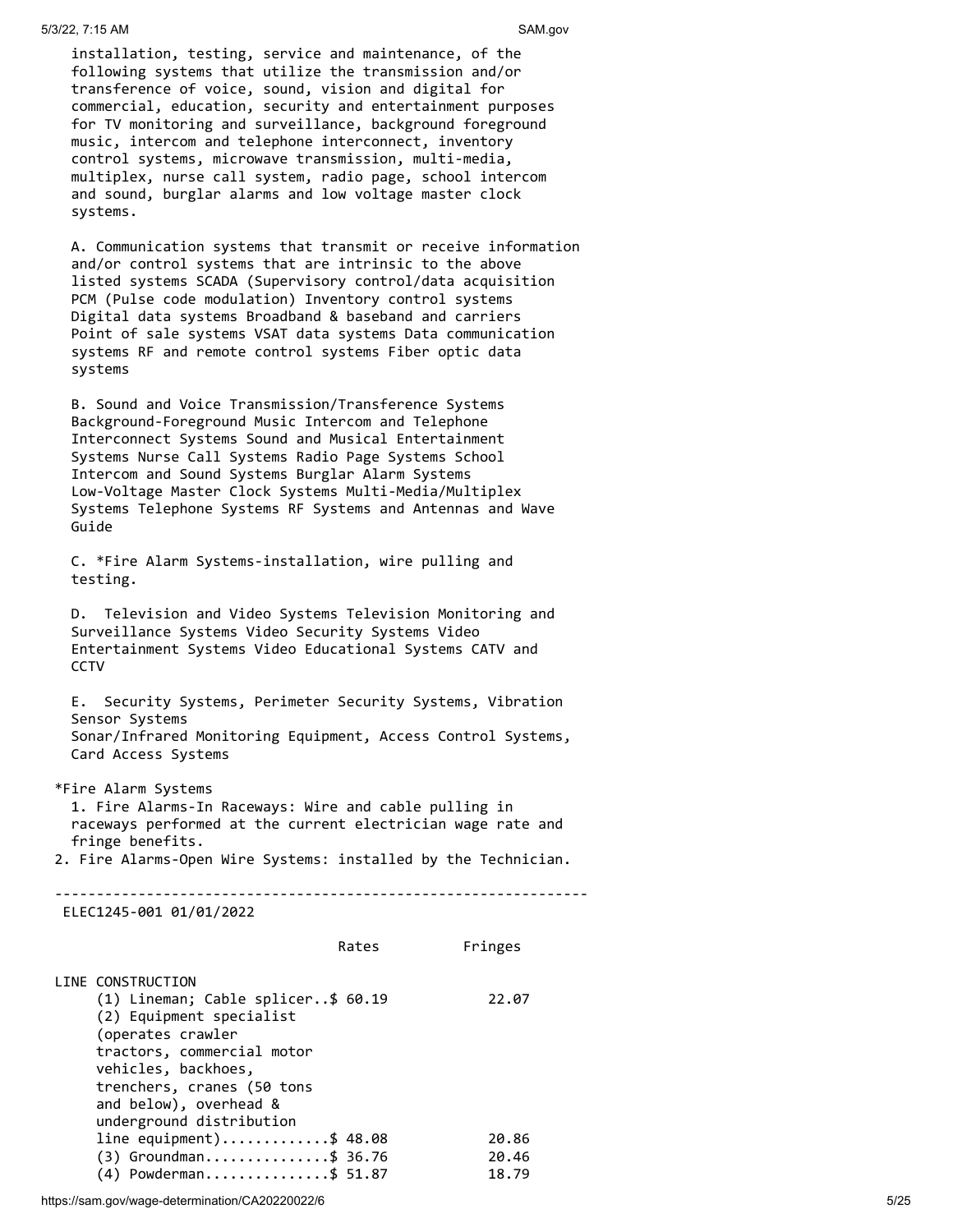installation, testing, service and maintenance, of the following systems that utilize the transmission and/or transference of voice, sound, vision and digital for commercial, education, security and entertainment purposes for TV monitoring and surveillance, background foreground music, intercom and telephone interconnect, inventory control systems, microwave transmission, multi-media, multiplex, nurse call system, radio page, school intercom and sound, burglar alarms and low voltage master clock systems.

 A. Communication systems that transmit or receive information and/or control systems that are intrinsic to the above listed systems SCADA (Supervisory control/data acquisition PCM (Pulse code modulation) Inventory control systems Digital data systems Broadband & baseband and carriers Point of sale systems VSAT data systems Data communication systems RF and remote control systems Fiber optic data systems

 B. Sound and Voice Transmission/Transference Systems Background-Foreground Music Intercom and Telephone Interconnect Systems Sound and Musical Entertainment Systems Nurse Call Systems Radio Page Systems School Intercom and Sound Systems Burglar Alarm Systems Low-Voltage Master Clock Systems Multi-Media/Multiplex Systems Telephone Systems RF Systems and Antennas and Wave Guide

 C. \*Fire Alarm Systems-installation, wire pulling and testing.

 D. Television and Video Systems Television Monitoring and Surveillance Systems Video Security Systems Video Entertainment Systems Video Educational Systems CATV and **CCTV** 

 E. Security Systems, Perimeter Security Systems, Vibration Sensor Systems Sonar/Infrared Monitoring Equipment, Access Control Systems, Card Access Systems

\*Fire Alarm Systems

 1. Fire Alarms-In Raceways: Wire and cable pulling in raceways performed at the current electrician wage rate and fringe benefits.

2. Fire Alarms-Open Wire Systems: installed by the Technician.

----------------------------------------------------------------

ELEC1245-001 01/01/2022

|                                                                                                                                                                                                                                                   | Rates | Fringes                 |
|---------------------------------------------------------------------------------------------------------------------------------------------------------------------------------------------------------------------------------------------------|-------|-------------------------|
| LINE CONSTRUCTION<br>(1) Lineman; Cable splicer\$ 60.19<br>(2) Equipment specialist<br>(operates crawler<br>tractors, commercial motor<br>vehicles, backhoes,<br>trenchers, cranes (50 tons<br>and below), overhead &<br>underground distribution |       | 22.07                   |
| line equipment)\$ 48.08<br>$(3)$ Groundman\$ 36.76<br>$(4)$ Powderman\$ 51.87                                                                                                                                                                     |       | 20.86<br>20.46<br>18.79 |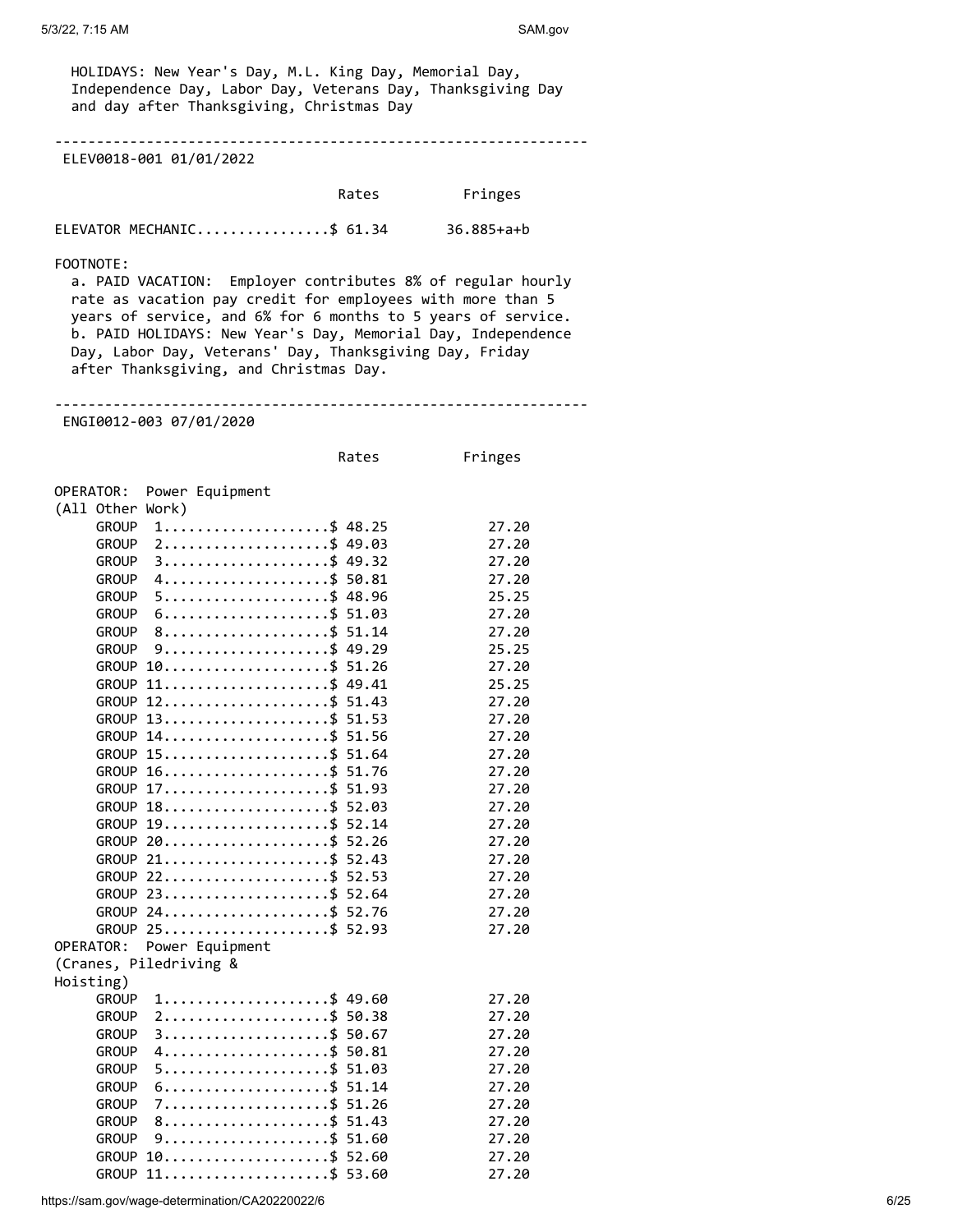HOLIDAYS: New Year's Day, M.L. King Day, Memorial Day, Independence Day, Labor Day, Veterans Day, Thanksgiving Day and day after Thanksgiving, Christmas Day

----------------------------------------------------------------

ELEV0018-001 01/01/2022

| Rates | Fringes |
|-------|---------|
|       |         |

ELEVATOR MECHANIC................\$ 61.34 36.885+a+b

#### FOOTNOTE:

 a. PAID VACATION: Employer contributes 8% of regular hourly rate as vacation pay credit for employees with more than 5 years of service, and 6% for 6 months to 5 years of service. b. PAID HOLIDAYS: New Year's Day, Memorial Day, Independence Day, Labor Day, Veterans' Day, Thanksgiving Day, Friday after Thanksgiving, and Christmas Day.

----------------------------------------------------------------

ENGI0012-003 07/01/2020

| Rates | Fringes |
|-------|---------|
|-------|---------|

OPERATOR: Power Equipment

| (All Other Work) |                                                            |       |
|------------------|------------------------------------------------------------|-------|
| <b>GROUP</b>     | $1$ \$ 48.25                                               | 27.20 |
| <b>GROUP</b>     | $2$ \$ 49.03                                               | 27.20 |
| <b>GROUP</b>     | 49.32                                                      | 27.20 |
| <b>GROUP</b>     | 50.81                                                      | 27.20 |
| <b>GROUP</b>     | 48.96                                                      | 25.25 |
| <b>GROUP</b>     | 51.03                                                      | 27.20 |
| <b>GROUP</b>     | 51.14                                                      | 27.20 |
| <b>GROUP</b>     |                                                            | 25.25 |
| <b>GROUP</b>     | $10 \ldots \ldots \ldots \ldots \ldots \quad$ \$<br>51.26  | 27.20 |
| <b>GROUP</b>     | $11$ \$ 49.41                                              | 25.25 |
| <b>GROUP</b>     | $12 \ldots \ldots \ldots \ldots \bullet$<br>51.43          | 27.20 |
| <b>GROUP</b>     | $13 \ldots \ldots \ldots \ldots \ldots$<br>51.53           | 27.20 |
| <b>GROUP</b>     | $14 \ldots \ldots \ldots \ldots \ldots \quad 51.56$        | 27.20 |
| <b>GROUP</b>     | $15 \ldots \ldots \ldots \ldots \ldots \quad 51.64$        | 27.20 |
| <b>GROUP</b>     | $16 \ldots \ldots \ldots \ldots \ldots \qquad 51.76$       | 27.20 |
| <b>GROUP</b>     | $17 \ldots \ldots \ldots \ldots \ldots \quad 51.93$        | 27.20 |
| <b>GROUP</b>     | $18 \ldots \ldots \ldots \ldots \ldots \quad 52.03$        | 27.20 |
| <b>GROUP</b>     | $19 \ldots \ldots \ldots \ldots \ldots \quad 52.14$        | 27.20 |
| <b>GROUP</b>     | 52.26                                                      | 27.20 |
| <b>GROUP</b>     | $21 \ldots  \ldots  \$<br>52.43                            | 27.20 |
| <b>GROUP</b>     | $22 \ldots \ldots \ldots \ldots \ldots$<br>52.53           | 27.20 |
| <b>GROUP</b>     | $23 \ldots \ldots \ldots \ldots \ldots \quad 5$ 52.64      | 27.20 |
| <b>GROUP</b>     | $24 \ldots \ldots \ldots \ldots \ldots \quad 52.76$        | 27.20 |
| <b>GROUP</b>     | $25 \ldots \ldots \ldots \ldots \ldots \quad 52.93$        | 27.20 |
| OPERATOR:        | Power Equipment                                            |       |
|                  | (Cranes, Piledriving &                                     |       |
| Hoisting)        |                                                            |       |
| <b>GROUP</b>     | $1, \ldots, \ldots, \ldots, \ldots, \ldots, \$$ 49.60      | 27.20 |
| <b>GROUP</b>     | $2$ \$ 50.38                                               | 27.20 |
| <b>GROUP</b>     | $3$ \$ 50.67                                               | 27.20 |
| <b>GROUP</b>     | $4$ \$ 50.81                                               | 27.20 |
| <b>GROUP</b>     | 51.03                                                      | 27.20 |
| <b>GROUP</b>     | 51.14                                                      | 27.20 |
| <b>GROUP</b>     | 51.26                                                      | 27.20 |
| <b>GROUP</b>     | 51.43                                                      | 27.20 |
| <b>GROUP</b>     | 51.60                                                      | 27.20 |
| <b>GROUP</b>     | $10 \ldots \ldots \ldots \ldots \ldots \quad 52.60$        | 27.20 |
| <b>GROUP</b>     | $11 \ldots \ldots \ldots \ldots \ldots \ldots \quad 53.60$ | 27.20 |

https://sam.gov/wage-determination/CA20220022/6 6/25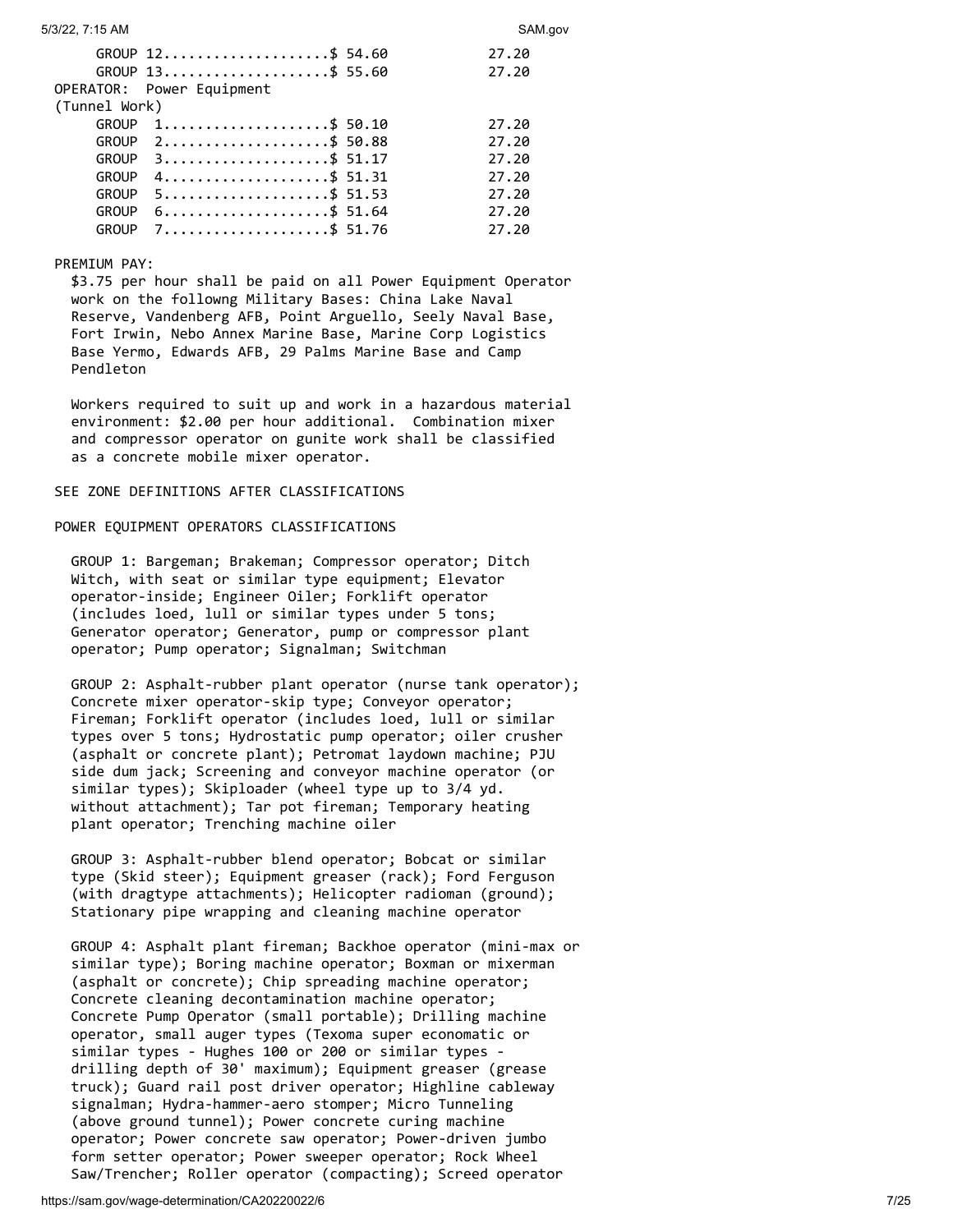|               | GROUP $12$ \$ 54.60                                            | 27.20 |
|---------------|----------------------------------------------------------------|-------|
|               | GROUP 13\$ 55.60                                               | 27.20 |
|               | OPERATOR: Power Equipment                                      |       |
| (Tunnel Work) |                                                                |       |
| <b>GROUP</b>  | $1, \ldots, \ldots, \ldots, \ldots, \ldots, \frac{1}{5}$ 50.10 | 27.20 |
| <b>GROUP</b>  | 2\$ 50.88                                                      | 27.20 |
| <b>GROUP</b>  | $3 \ldots  \ldots  \qquad 51.17$                               | 27.20 |
| <b>GROUP</b>  | $4$ \$ 51.31                                                   | 27.20 |
| <b>GROUP</b>  | $5$ \$ 51.53                                                   | 27.20 |
| <b>GROUP</b>  | $6 \ldots \ldots \ldots \ldots \ldots \quad 51.64$             | 27.20 |
| <b>GROUP</b>  | $7.\dots\dots\dots\$ 51.76                                     | 27.20 |
|               |                                                                |       |

## PREMIUM PAY:

 \$3.75 per hour shall be paid on all Power Equipment Operator work on the followng Military Bases: China Lake Naval Reserve, Vandenberg AFB, Point Arguello, Seely Naval Base, Fort Irwin, Nebo Annex Marine Base, Marine Corp Logistics Base Yermo, Edwards AFB, 29 Palms Marine Base and Camp Pendleton

 Workers required to suit up and work in a hazardous material environment: \$2.00 per hour additional. Combination mixer and compressor operator on gunite work shall be classified as a concrete mobile mixer operator.

## SEE ZONE DEFINITIONS AFTER CLASSIFICATIONS

## POWER EQUIPMENT OPERATORS CLASSIFICATIONS

 GROUP 1: Bargeman; Brakeman; Compressor operator; Ditch Witch, with seat or similar type equipment; Elevator operator-inside; Engineer Oiler; Forklift operator (includes loed, lull or similar types under 5 tons; Generator operator; Generator, pump or compressor plant operator; Pump operator; Signalman; Switchman

 GROUP 2: Asphalt-rubber plant operator (nurse tank operator); Concrete mixer operator-skip type; Conveyor operator; Fireman; Forklift operator (includes loed, lull or similar types over 5 tons; Hydrostatic pump operator; oiler crusher (asphalt or concrete plant); Petromat laydown machine; PJU side dum jack; Screening and conveyor machine operator (or similar types); Skiploader (wheel type up to 3/4 yd. without attachment); Tar pot fireman; Temporary heating plant operator; Trenching machine oiler

 GROUP 3: Asphalt-rubber blend operator; Bobcat or similar type (Skid steer); Equipment greaser (rack); Ford Ferguson (with dragtype attachments); Helicopter radioman (ground); Stationary pipe wrapping and cleaning machine operator

 GROUP 4: Asphalt plant fireman; Backhoe operator (mini-max or similar type); Boring machine operator; Boxman or mixerman (asphalt or concrete); Chip spreading machine operator; Concrete cleaning decontamination machine operator; Concrete Pump Operator (small portable); Drilling machine operator, small auger types (Texoma super economatic or similar types - Hughes 100 or 200 or similar types drilling depth of 30' maximum); Equipment greaser (grease truck); Guard rail post driver operator; Highline cableway signalman; Hydra-hammer-aero stomper; Micro Tunneling (above ground tunnel); Power concrete curing machine operator; Power concrete saw operator; Power-driven jumbo form setter operator; Power sweeper operator; Rock Wheel Saw/Trencher; Roller operator (compacting); Screed operator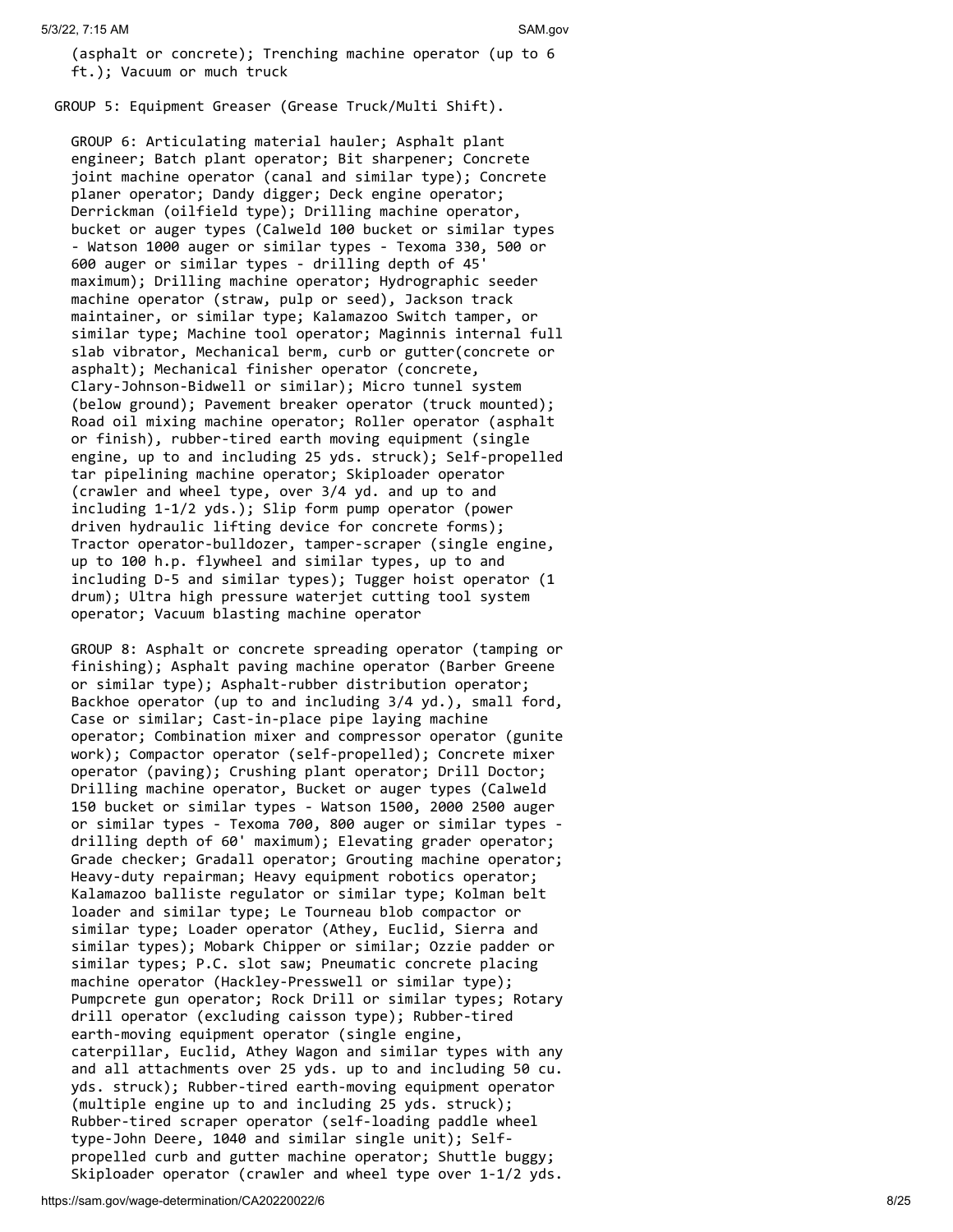(asphalt or concrete); Trenching machine operator (up to 6 ft.); Vacuum or much truck

GROUP 5: Equipment Greaser (Grease Truck/Multi Shift).

 GROUP 6: Articulating material hauler; Asphalt plant engineer; Batch plant operator; Bit sharpener; Concrete joint machine operator (canal and similar type); Concrete planer operator; Dandy digger; Deck engine operator; Derrickman (oilfield type); Drilling machine operator, bucket or auger types (Calweld 100 bucket or similar types - Watson 1000 auger or similar types - Texoma 330, 500 or 600 auger or similar types - drilling depth of 45' maximum); Drilling machine operator; Hydrographic seeder machine operator (straw, pulp or seed), Jackson track maintainer, or similar type; Kalamazoo Switch tamper, or similar type; Machine tool operator; Maginnis internal full slab vibrator, Mechanical berm, curb or gutter(concrete or asphalt); Mechanical finisher operator (concrete, Clary-Johnson-Bidwell or similar); Micro tunnel system (below ground); Pavement breaker operator (truck mounted); Road oil mixing machine operator; Roller operator (asphalt or finish), rubber-tired earth moving equipment (single engine, up to and including 25 yds. struck); Self-propelled tar pipelining machine operator; Skiploader operator (crawler and wheel type, over 3/4 yd. and up to and including 1-1/2 yds.); Slip form pump operator (power driven hydraulic lifting device for concrete forms); Tractor operator-bulldozer, tamper-scraper (single engine, up to 100 h.p. flywheel and similar types, up to and including D-5 and similar types); Tugger hoist operator (1 drum); Ultra high pressure waterjet cutting tool system operator; Vacuum blasting machine operator

 GROUP 8: Asphalt or concrete spreading operator (tamping or finishing); Asphalt paving machine operator (Barber Greene or similar type); Asphalt-rubber distribution operator; Backhoe operator (up to and including 3/4 yd.), small ford, Case or similar; Cast-in-place pipe laying machine operator; Combination mixer and compressor operator (gunite work); Compactor operator (self-propelled); Concrete mixer operator (paving); Crushing plant operator; Drill Doctor; Drilling machine operator, Bucket or auger types (Calweld 150 bucket or similar types - Watson 1500, 2000 2500 auger or similar types - Texoma 700, 800 auger or similar types drilling depth of 60' maximum); Elevating grader operator; Grade checker; Gradall operator; Grouting machine operator; Heavy-duty repairman; Heavy equipment robotics operator; Kalamazoo balliste regulator or similar type; Kolman belt loader and similar type; Le Tourneau blob compactor or similar type; Loader operator (Athey, Euclid, Sierra and similar types); Mobark Chipper or similar; Ozzie padder or similar types; P.C. slot saw; Pneumatic concrete placing machine operator (Hackley-Presswell or similar type); Pumpcrete gun operator; Rock Drill or similar types; Rotary drill operator (excluding caisson type); Rubber-tired earth-moving equipment operator (single engine, caterpillar, Euclid, Athey Wagon and similar types with any and all attachments over 25 yds. up to and including 50 cu. yds. struck); Rubber-tired earth-moving equipment operator (multiple engine up to and including 25 yds. struck); Rubber-tired scraper operator (self-loading paddle wheel type-John Deere, 1040 and similar single unit); Self propelled curb and gutter machine operator; Shuttle buggy; Skiploader operator (crawler and wheel type over 1-1/2 yds.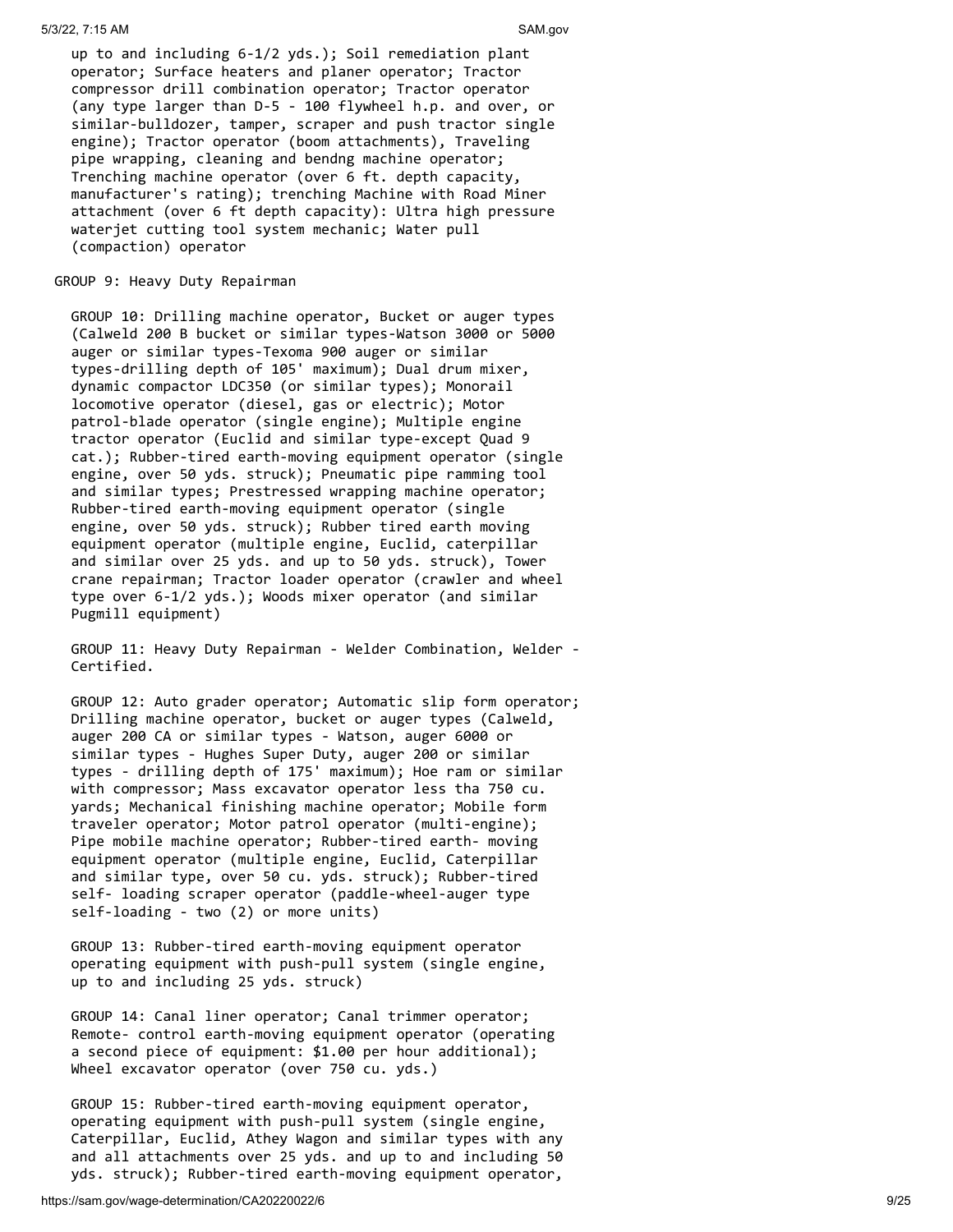up to and including 6-1/2 yds.); Soil remediation plant operator; Surface heaters and planer operator; Tractor compressor drill combination operator; Tractor operator (any type larger than D-5 - 100 flywheel h.p. and over, or similar-bulldozer, tamper, scraper and push tractor single engine); Tractor operator (boom attachments), Traveling pipe wrapping, cleaning and bendng machine operator; Trenching machine operator (over 6 ft. depth capacity, manufacturer's rating); trenching Machine with Road Miner attachment (over 6 ft depth capacity): Ultra high pressure waterjet cutting tool system mechanic; Water pull (compaction) operator

## GROUP 9: Heavy Duty Repairman

 GROUP 10: Drilling machine operator, Bucket or auger types (Calweld 200 B bucket or similar types-Watson 3000 or 5000 auger or similar types-Texoma 900 auger or similar types-drilling depth of 105' maximum); Dual drum mixer, dynamic compactor LDC350 (or similar types); Monorail locomotive operator (diesel, gas or electric); Motor patrol-blade operator (single engine); Multiple engine tractor operator (Euclid and similar type-except Quad 9 cat.); Rubber-tired earth-moving equipment operator (single engine, over 50 yds. struck); Pneumatic pipe ramming tool and similar types; Prestressed wrapping machine operator; Rubber-tired earth-moving equipment operator (single engine, over 50 yds. struck); Rubber tired earth moving equipment operator (multiple engine, Euclid, caterpillar and similar over 25 yds. and up to 50 yds. struck), Tower crane repairman; Tractor loader operator (crawler and wheel type over 6-1/2 yds.); Woods mixer operator (and similar Pugmill equipment)

 GROUP 11: Heavy Duty Repairman - Welder Combination, Welder - Certified.

 GROUP 12: Auto grader operator; Automatic slip form operator; Drilling machine operator, bucket or auger types (Calweld, auger 200 CA or similar types - Watson, auger 6000 or similar types - Hughes Super Duty, auger 200 or similar types - drilling depth of 175' maximum); Hoe ram or similar with compressor; Mass excavator operator less tha 750 cu. yards; Mechanical finishing machine operator; Mobile form traveler operator; Motor patrol operator (multi-engine); Pipe mobile machine operator; Rubber-tired earth- moving equipment operator (multiple engine, Euclid, Caterpillar and similar type, over 50 cu. yds. struck); Rubber-tired self- loading scraper operator (paddle-wheel-auger type self-loading - two (2) or more units)

 GROUP 13: Rubber-tired earth-moving equipment operator operating equipment with push-pull system (single engine, up to and including 25 yds. struck)

 GROUP 14: Canal liner operator; Canal trimmer operator; Remote- control earth-moving equipment operator (operating a second piece of equipment: \$1.00 per hour additional); Wheel excavator operator (over 750 cu. yds.)

 GROUP 15: Rubber-tired earth-moving equipment operator, operating equipment with push-pull system (single engine, Caterpillar, Euclid, Athey Wagon and similar types with any and all attachments over 25 yds. and up to and including 50 yds. struck); Rubber-tired earth-moving equipment operator,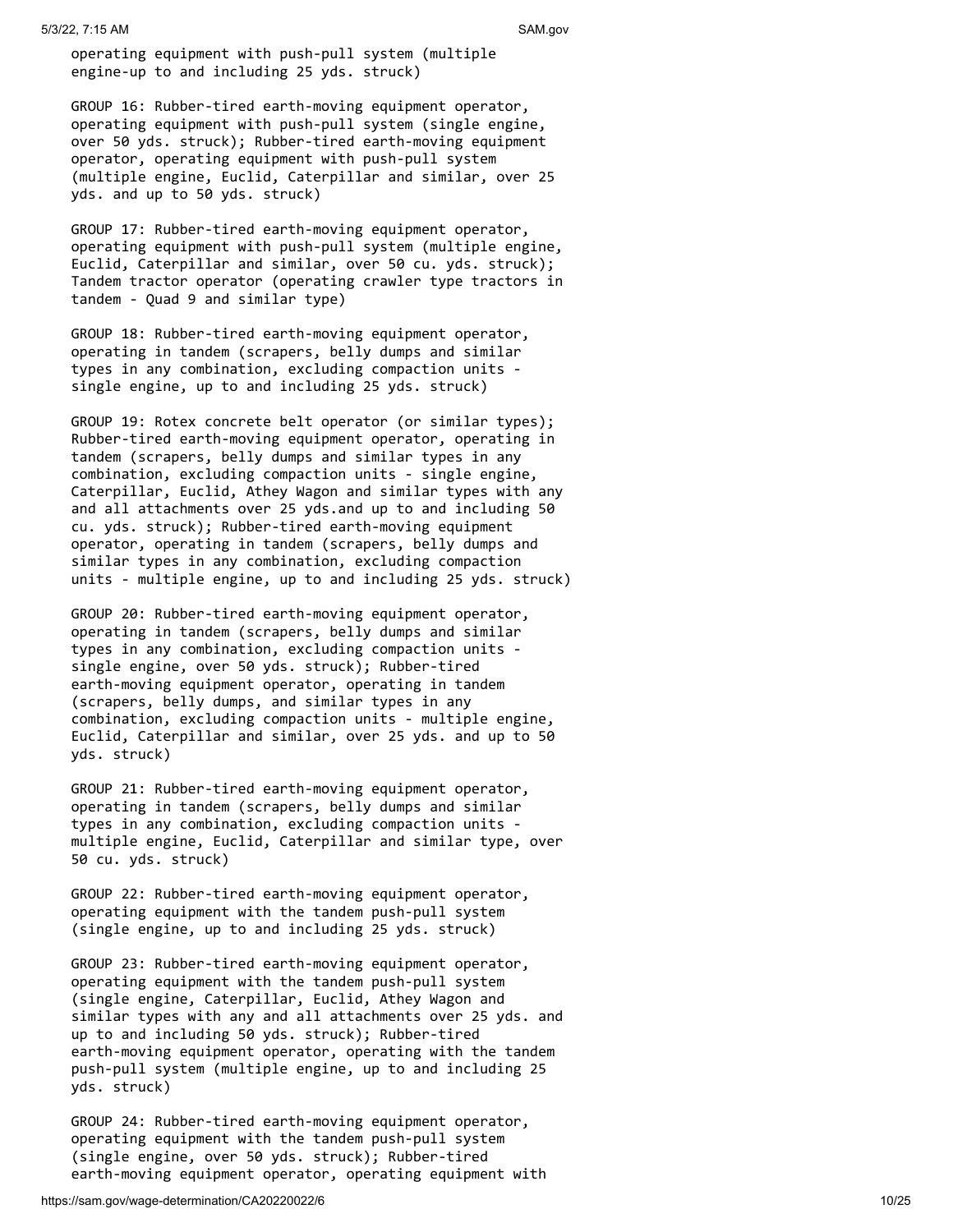operating equipment with push-pull system (multiple engine-up to and including 25 yds. struck)

 GROUP 16: Rubber-tired earth-moving equipment operator, operating equipment with push-pull system (single engine, over 50 yds. struck); Rubber-tired earth-moving equipment operator, operating equipment with push-pull system (multiple engine, Euclid, Caterpillar and similar, over 25 yds. and up to 50 yds. struck)

 GROUP 17: Rubber-tired earth-moving equipment operator, operating equipment with push-pull system (multiple engine, Euclid, Caterpillar and similar, over 50 cu. yds. struck); Tandem tractor operator (operating crawler type tractors in tandem - Quad 9 and similar type)

 GROUP 18: Rubber-tired earth-moving equipment operator, operating in tandem (scrapers, belly dumps and similar types in any combination, excluding compaction units single engine, up to and including 25 yds. struck)

 GROUP 19: Rotex concrete belt operator (or similar types); Rubber-tired earth-moving equipment operator, operating in tandem (scrapers, belly dumps and similar types in any combination, excluding compaction units - single engine, Caterpillar, Euclid, Athey Wagon and similar types with any and all attachments over 25 yds.and up to and including 50 cu. yds. struck); Rubber-tired earth-moving equipment operator, operating in tandem (scrapers, belly dumps and similar types in any combination, excluding compaction units - multiple engine, up to and including 25 yds. struck)

 GROUP 20: Rubber-tired earth-moving equipment operator, operating in tandem (scrapers, belly dumps and similar types in any combination, excluding compaction units single engine, over 50 yds. struck); Rubber-tired earth-moving equipment operator, operating in tandem (scrapers, belly dumps, and similar types in any combination, excluding compaction units - multiple engine, Euclid, Caterpillar and similar, over 25 yds. and up to 50 yds. struck)

 GROUP 21: Rubber-tired earth-moving equipment operator, operating in tandem (scrapers, belly dumps and similar types in any combination, excluding compaction units multiple engine, Euclid, Caterpillar and similar type, over 50 cu. yds. struck)

 GROUP 22: Rubber-tired earth-moving equipment operator, operating equipment with the tandem push-pull system (single engine, up to and including 25 yds. struck)

 GROUP 23: Rubber-tired earth-moving equipment operator, operating equipment with the tandem push-pull system (single engine, Caterpillar, Euclid, Athey Wagon and similar types with any and all attachments over 25 yds. and up to and including 50 yds. struck); Rubber-tired earth-moving equipment operator, operating with the tandem push-pull system (multiple engine, up to and including 25 yds. struck)

 GROUP 24: Rubber-tired earth-moving equipment operator, operating equipment with the tandem push-pull system (single engine, over 50 yds. struck); Rubber-tired earth-moving equipment operator, operating equipment with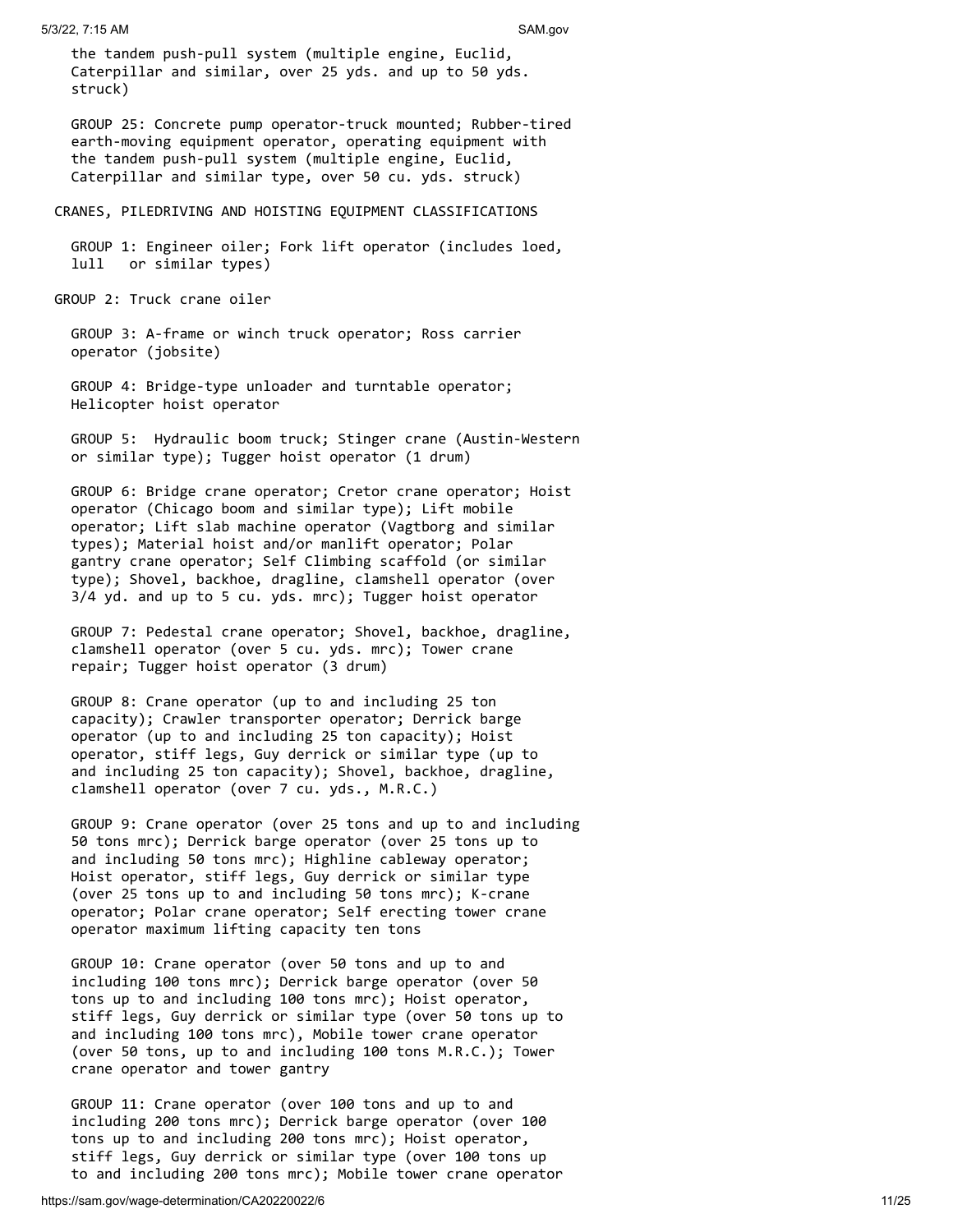the tandem push-pull system (multiple engine, Euclid, Caterpillar and similar, over 25 yds. and up to 50 yds. struck)

 GROUP 25: Concrete pump operator-truck mounted; Rubber-tired earth-moving equipment operator, operating equipment with the tandem push-pull system (multiple engine, Euclid, Caterpillar and similar type, over 50 cu. yds. struck)

#### CRANES, PILEDRIVING AND HOISTING EQUIPMENT CLASSIFICATIONS

 GROUP 1: Engineer oiler; Fork lift operator (includes loed, lull or similar types)

GROUP 2: Truck crane oiler

 GROUP 3: A-frame or winch truck operator; Ross carrier operator (jobsite)

 GROUP 4: Bridge-type unloader and turntable operator; Helicopter hoist operator

 GROUP 5: Hydraulic boom truck; Stinger crane (Austin-Western or similar type); Tugger hoist operator (1 drum)

 GROUP 6: Bridge crane operator; Cretor crane operator; Hoist operator (Chicago boom and similar type); Lift mobile operator; Lift slab machine operator (Vagtborg and similar types); Material hoist and/or manlift operator; Polar gantry crane operator; Self Climbing scaffold (or similar type); Shovel, backhoe, dragline, clamshell operator (over 3/4 yd. and up to 5 cu. yds. mrc); Tugger hoist operator

 GROUP 7: Pedestal crane operator; Shovel, backhoe, dragline, clamshell operator (over 5 cu. yds. mrc); Tower crane repair; Tugger hoist operator (3 drum)

 GROUP 8: Crane operator (up to and including 25 ton capacity); Crawler transporter operator; Derrick barge operator (up to and including 25 ton capacity); Hoist operator, stiff legs, Guy derrick or similar type (up to and including 25 ton capacity); Shovel, backhoe, dragline, clamshell operator (over 7 cu. yds., M.R.C.)

 GROUP 9: Crane operator (over 25 tons and up to and including 50 tons mrc); Derrick barge operator (over 25 tons up to and including 50 tons mrc); Highline cableway operator; Hoist operator, stiff legs, Guy derrick or similar type (over 25 tons up to and including 50 tons mrc); K-crane operator; Polar crane operator; Self erecting tower crane operator maximum lifting capacity ten tons

 GROUP 10: Crane operator (over 50 tons and up to and including 100 tons mrc); Derrick barge operator (over 50 tons up to and including 100 tons mrc); Hoist operator, stiff legs, Guy derrick or similar type (over 50 tons up to and including 100 tons mrc), Mobile tower crane operator (over 50 tons, up to and including 100 tons M.R.C.); Tower crane operator and tower gantry

 GROUP 11: Crane operator (over 100 tons and up to and including 200 tons mrc); Derrick barge operator (over 100 tons up to and including 200 tons mrc); Hoist operator, stiff legs, Guy derrick or similar type (over 100 tons up to and including 200 tons mrc); Mobile tower crane operator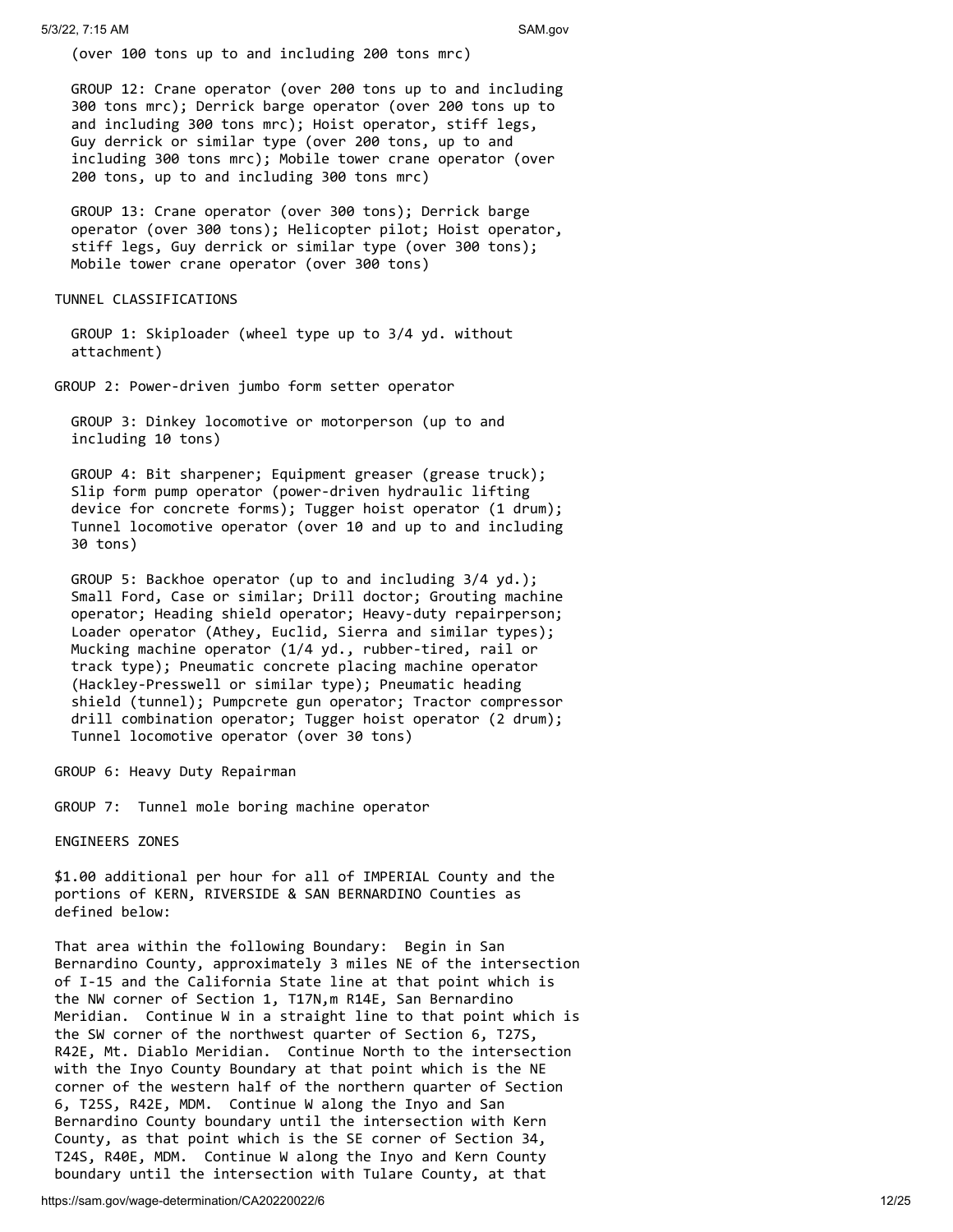(over 100 tons up to and including 200 tons mrc)

 GROUP 12: Crane operator (over 200 tons up to and including 300 tons mrc); Derrick barge operator (over 200 tons up to and including 300 tons mrc); Hoist operator, stiff legs, Guy derrick or similar type (over 200 tons, up to and including 300 tons mrc); Mobile tower crane operator (over 200 tons, up to and including 300 tons mrc)

 GROUP 13: Crane operator (over 300 tons); Derrick barge operator (over 300 tons); Helicopter pilot; Hoist operator, stiff legs, Guy derrick or similar type (over 300 tons); Mobile tower crane operator (over 300 tons)

#### TUNNEL CLASSIFICATIONS

 GROUP 1: Skiploader (wheel type up to 3/4 yd. without attachment)

GROUP 2: Power-driven jumbo form setter operator

 GROUP 3: Dinkey locomotive or motorperson (up to and including 10 tons)

 GROUP 4: Bit sharpener; Equipment greaser (grease truck); Slip form pump operator (power-driven hydraulic lifting device for concrete forms); Tugger hoist operator (1 drum); Tunnel locomotive operator (over 10 and up to and including 30 tons)

 GROUP 5: Backhoe operator (up to and including 3/4 yd.); Small Ford, Case or similar; Drill doctor; Grouting machine operator; Heading shield operator; Heavy-duty repairperson; Loader operator (Athey, Euclid, Sierra and similar types); Mucking machine operator (1/4 yd., rubber-tired, rail or track type); Pneumatic concrete placing machine operator (Hackley-Presswell or similar type); Pneumatic heading shield (tunnel); Pumpcrete gun operator; Tractor compressor drill combination operator; Tugger hoist operator (2 drum); Tunnel locomotive operator (over 30 tons)

GROUP 6: Heavy Duty Repairman

GROUP 7: Tunnel mole boring machine operator

ENGINEERS ZONES

\$1.00 additional per hour for all of IMPERIAL County and the portions of KERN, RIVERSIDE & SAN BERNARDINO Counties as defined below:

That area within the following Boundary: Begin in San Bernardino County, approximately 3 miles NE of the intersection of I-15 and the California State line at that point which is the NW corner of Section 1, T17N,m R14E, San Bernardino Meridian. Continue W in a straight line to that point which is the SW corner of the northwest quarter of Section 6, T27S, R42E, Mt. Diablo Meridian. Continue North to the intersection with the Inyo County Boundary at that point which is the NE corner of the western half of the northern quarter of Section 6, T25S, R42E, MDM. Continue W along the Inyo and San Bernardino County boundary until the intersection with Kern County, as that point which is the SE corner of Section 34, T24S, R40E, MDM. Continue W along the Inyo and Kern County boundary until the intersection with Tulare County, at that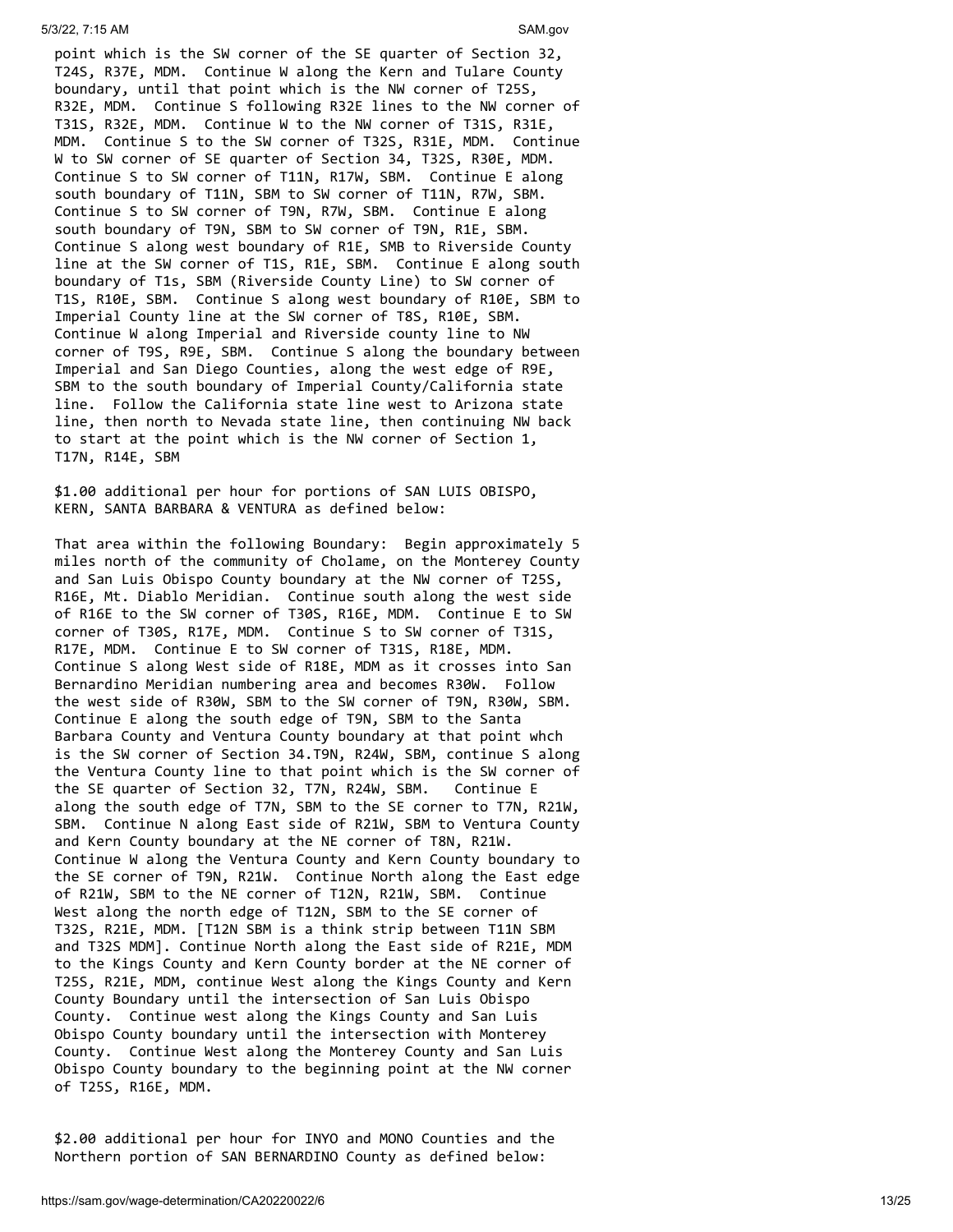point which is the SW corner of the SE quarter of Section 32, T24S, R37E, MDM. Continue W along the Kern and Tulare County boundary, until that point which is the NW corner of T25S, R32E, MDM. Continue S following R32E lines to the NW corner of T31S, R32E, MDM. Continue W to the NW corner of T31S, R31E, MDM. Continue S to the SW corner of T32S, R31E, MDM. Continue W to SW corner of SE quarter of Section 34, T32S, R30E, MDM. Continue S to SW corner of T11N, R17W, SBM. Continue E along south boundary of T11N, SBM to SW corner of T11N, R7W, SBM. Continue S to SW corner of T9N, R7W, SBM. Continue E along south boundary of T9N, SBM to SW corner of T9N, R1E, SBM. Continue S along west boundary of R1E, SMB to Riverside County line at the SW corner of T1S, R1E, SBM. Continue E along south boundary of T1s, SBM (Riverside County Line) to SW corner of T1S, R10E, SBM. Continue S along west boundary of R10E, SBM to Imperial County line at the SW corner of T8S, R10E, SBM. Continue W along Imperial and Riverside county line to NW corner of T9S, R9E, SBM. Continue S along the boundary between Imperial and San Diego Counties, along the west edge of R9E, SBM to the south boundary of Imperial County/California state line. Follow the California state line west to Arizona state line, then north to Nevada state line, then continuing NW back to start at the point which is the NW corner of Section 1, T17N, R14E, SBM

\$1.00 additional per hour for portions of SAN LUIS OBISPO, KERN, SANTA BARBARA & VENTURA as defined below:

That area within the following Boundary: Begin approximately 5 miles north of the community of Cholame, on the Monterey County and San Luis Obispo County boundary at the NW corner of T25S, R16E, Mt. Diablo Meridian. Continue south along the west side of R16E to the SW corner of T30S, R16E, MDM. Continue E to SW corner of T30S, R17E, MDM. Continue S to SW corner of T31S, R17E, MDM. Continue E to SW corner of T31S, R18E, MDM. Continue S along West side of R18E, MDM as it crosses into San Bernardino Meridian numbering area and becomes R30W. Follow the west side of R30W, SBM to the SW corner of T9N, R30W, SBM. Continue E along the south edge of T9N, SBM to the Santa Barbara County and Ventura County boundary at that point whch is the SW corner of Section 34.T9N, R24W, SBM, continue S along the Ventura County line to that point which is the SW corner of the SE quarter of Section 32, T7N, R24W, SBM. Continue E along the south edge of T7N, SBM to the SE corner to T7N, R21W, SBM. Continue N along East side of R21W, SBM to Ventura County and Kern County boundary at the NE corner of T8N, R21W. Continue W along the Ventura County and Kern County boundary to the SE corner of T9N, R21W. Continue North along the East edge of R21W, SBM to the NE corner of T12N, R21W, SBM. Continue West along the north edge of T12N, SBM to the SE corner of T32S, R21E, MDM. [T12N SBM is a think strip between T11N SBM and T32S MDM]. Continue North along the East side of R21E, MDM to the Kings County and Kern County border at the NE corner of T25S, R21E, MDM, continue West along the Kings County and Kern County Boundary until the intersection of San Luis Obispo County. Continue west along the Kings County and San Luis Obispo County boundary until the intersection with Monterey County. Continue West along the Monterey County and San Luis Obispo County boundary to the beginning point at the NW corner of T25S, R16E, MDM.

\$2.00 additional per hour for INYO and MONO Counties and the Northern portion of SAN BERNARDINO County as defined below: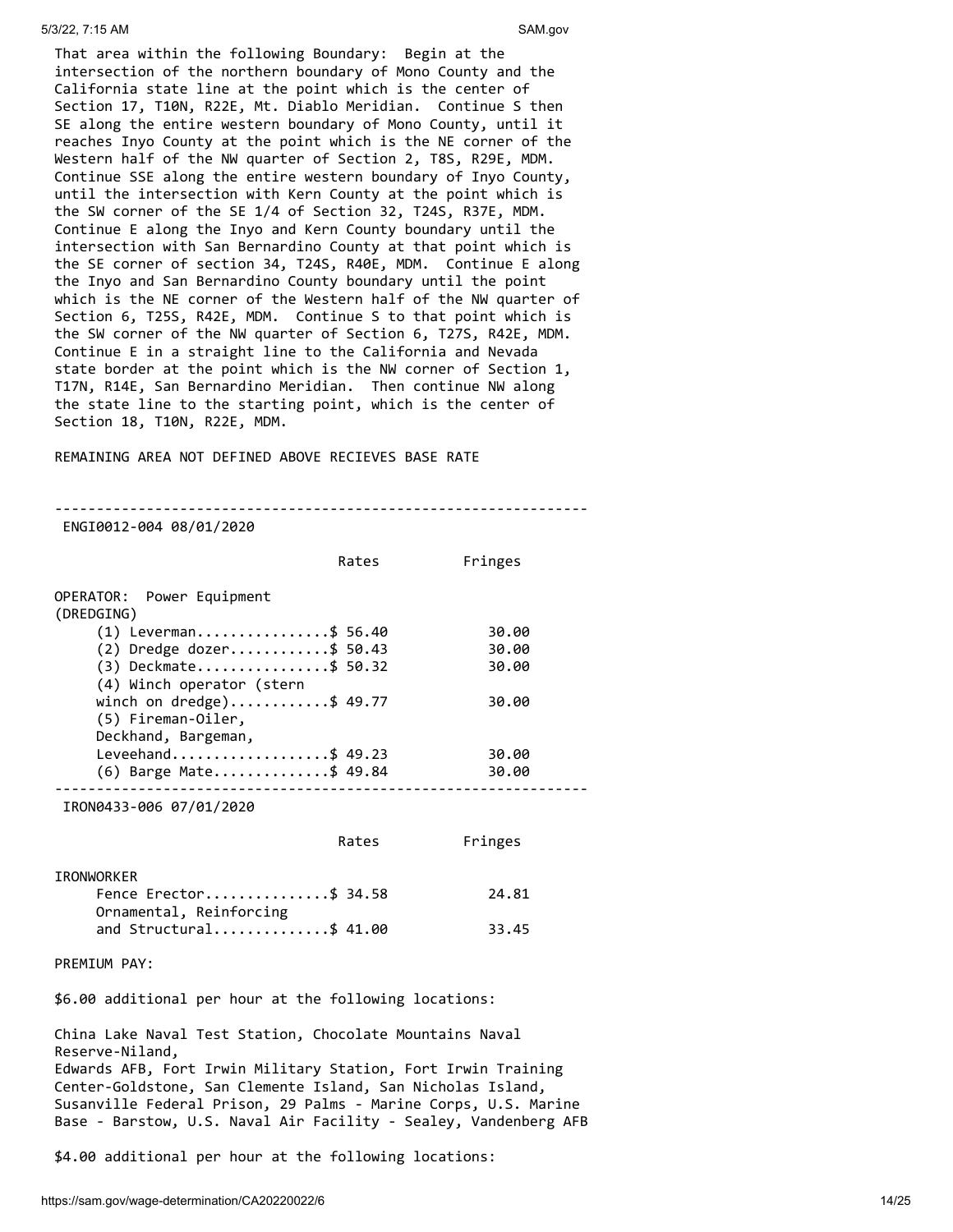That area within the following Boundary: Begin at the intersection of the northern boundary of Mono County and the California state line at the point which is the center of Section 17, T10N, R22E, Mt. Diablo Meridian. Continue S then SE along the entire western boundary of Mono County, until it reaches Inyo County at the point which is the NE corner of the Western half of the NW quarter of Section 2, T8S, R29E, MDM. Continue SSE along the entire western boundary of Inyo County, until the intersection with Kern County at the point which is the SW corner of the SE 1/4 of Section 32, T24S, R37E, MDM. Continue E along the Inyo and Kern County boundary until the intersection with San Bernardino County at that point which is the SE corner of section 34, T24S, R40E, MDM. Continue E along the Inyo and San Bernardino County boundary until the point which is the NE corner of the Western half of the NW quarter of Section 6, T25S, R42E, MDM. Continue S to that point which is the SW corner of the NW quarter of Section 6, T27S, R42E, MDM. Continue E in a straight line to the California and Nevada state border at the point which is the NW corner of Section 1, T17N, R14E, San Bernardino Meridian. Then continue NW along the state line to the starting point, which is the center of Section 18, T10N, R22E, MDM.

REMAINING AREA NOT DEFINED ABOVE RECIEVES BASE RATE

---------------------------------------------------------------- ENGI0012-004 08/01/2020

|                                                                       | Rates | Fringes |
|-----------------------------------------------------------------------|-------|---------|
| OPERATOR: Power Equipment<br>(DREDGING)                               |       |         |
| $(1)$ Leverman\$ 56.40                                                |       | 30.00   |
| $(2)$ Dredge dozer\$ 50.43                                            |       | 30.00   |
| $(3)$ Deckmate\$ 50.32<br>(4) Winch operator (stern                   |       | 30.00   |
| winch on dredge)\$ 49.77<br>(5) Fireman-Oiler,<br>Deckhand, Bargeman, |       | 30.00   |
| Leveehand\$ 49.23                                                     |       | 30.00   |
| $(6)$ Barge Mate\$ 49.84                                              |       | 30.00   |

IRON0433-006 07/01/2020

|                         | Rates | Fringes |
|-------------------------|-------|---------|
| IRONWORKER              |       |         |
| Fence Erector\$ 34.58   |       | 24.81   |
| Ornamental, Reinforcing |       |         |
| and Structural\$ 41.00  |       | 33.45   |

PREMIUM PAY:

\$6.00 additional per hour at the following locations:

China Lake Naval Test Station, Chocolate Mountains Naval Reserve-Niland, Edwards AFB, Fort Irwin Military Station, Fort Irwin Training Center-Goldstone, San Clemente Island, San Nicholas Island, Susanville Federal Prison, 29 Palms - Marine Corps, U.S. Marine Base - Barstow, U.S. Naval Air Facility - Sealey, Vandenberg AFB

\$4.00 additional per hour at the following locations: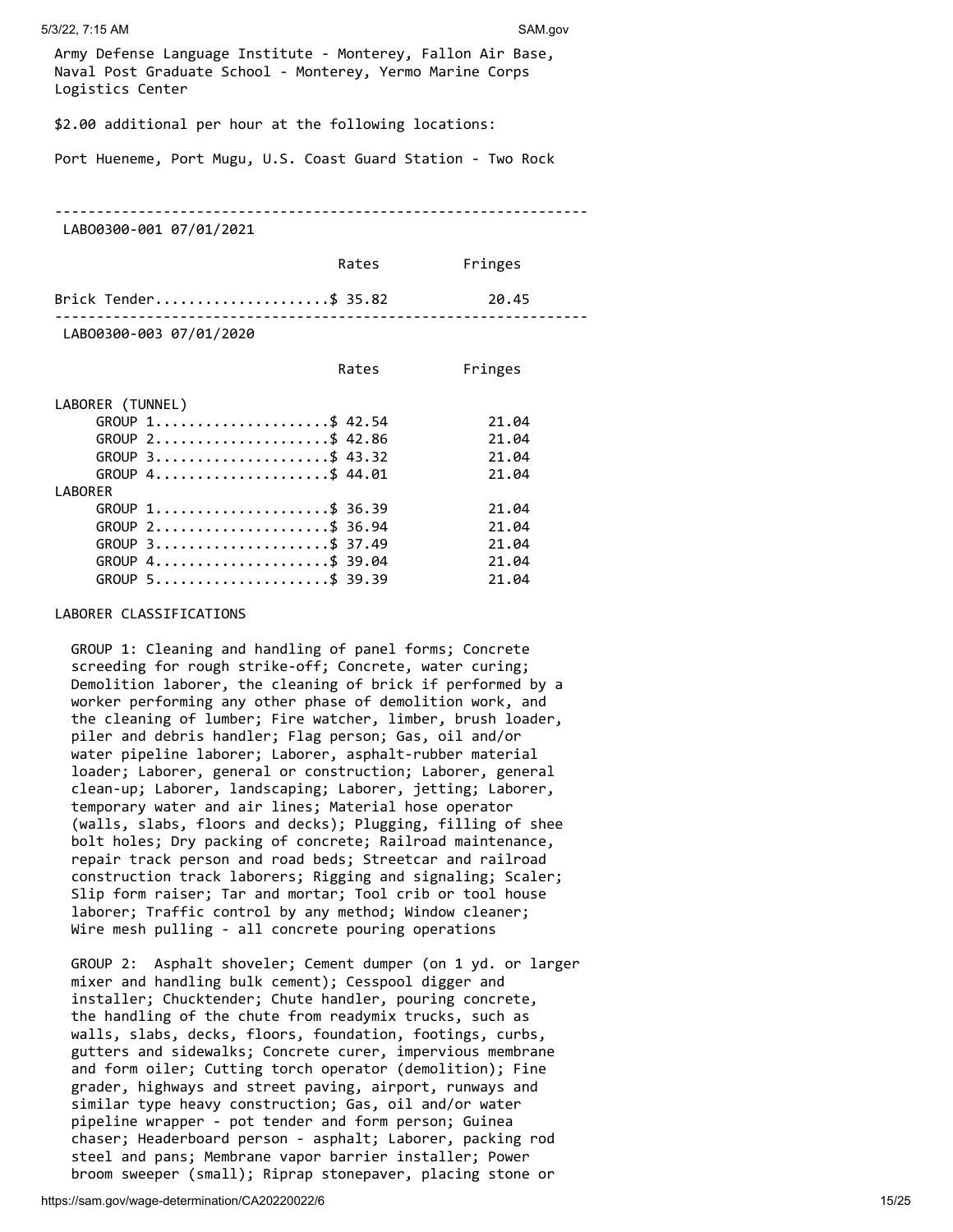Army Defense Language Institute - Monterey, Fallon Air Base, Naval Post Graduate School - Monterey, Yermo Marine Corps Logistics Center

\$2.00 additional per hour at the following locations:

Port Hueneme, Port Mugu, U.S. Coast Guard Station - Two Rock

----------------------------------------------------------------

LABO0300-001 07/01/2021

|                         | Rates | Fringes |
|-------------------------|-------|---------|
| Brick Tender\$ 35.82    |       | 20.45   |
| LAB00300-003 07/01/2020 |       |         |

|                  | Rates | Fringes |
|------------------|-------|---------|
| LABORER (TUNNEL) |       |         |
| GROUP 1\$ 42.54  |       | 21.04   |
| GROUP 2\$ 42.86  |       | 21.04   |
| GROUP 3\$ 43.32  |       | 21.04   |
| GROUP 4\$ 44.01  |       | 21.04   |
| LABORER          |       |         |
| GROUP 1\$ 36.39  |       | 21.04   |
| GROUP 2\$ 36.94  |       | 21.04   |
| GROUP 3\$ 37.49  |       | 21.04   |
| GROUP 4\$ 39.04  |       | 21.04   |
| GROUP 5\$ 39.39  |       | 21.04   |

#### LABORER CLASSIFICATIONS

 GROUP 1: Cleaning and handling of panel forms; Concrete screeding for rough strike-off; Concrete, water curing; Demolition laborer, the cleaning of brick if performed by a worker performing any other phase of demolition work, and the cleaning of lumber; Fire watcher, limber, brush loader, piler and debris handler; Flag person; Gas, oil and/or water pipeline laborer; Laborer, asphalt-rubber material loader; Laborer, general or construction; Laborer, general clean-up; Laborer, landscaping; Laborer, jetting; Laborer, temporary water and air lines; Material hose operator (walls, slabs, floors and decks); Plugging, filling of shee bolt holes; Dry packing of concrete; Railroad maintenance, repair track person and road beds; Streetcar and railroad construction track laborers; Rigging and signaling; Scaler; Slip form raiser; Tar and mortar; Tool crib or tool house laborer; Traffic control by any method; Window cleaner; Wire mesh pulling - all concrete pouring operations

 GROUP 2: Asphalt shoveler; Cement dumper (on 1 yd. or larger mixer and handling bulk cement); Cesspool digger and installer; Chucktender; Chute handler, pouring concrete, the handling of the chute from readymix trucks, such as walls, slabs, decks, floors, foundation, footings, curbs, gutters and sidewalks; Concrete curer, impervious membrane and form oiler; Cutting torch operator (demolition); Fine grader, highways and street paving, airport, runways and similar type heavy construction; Gas, oil and/or water pipeline wrapper - pot tender and form person; Guinea chaser; Headerboard person - asphalt; Laborer, packing rod steel and pans; Membrane vapor barrier installer; Power broom sweeper (small); Riprap stonepaver, placing stone or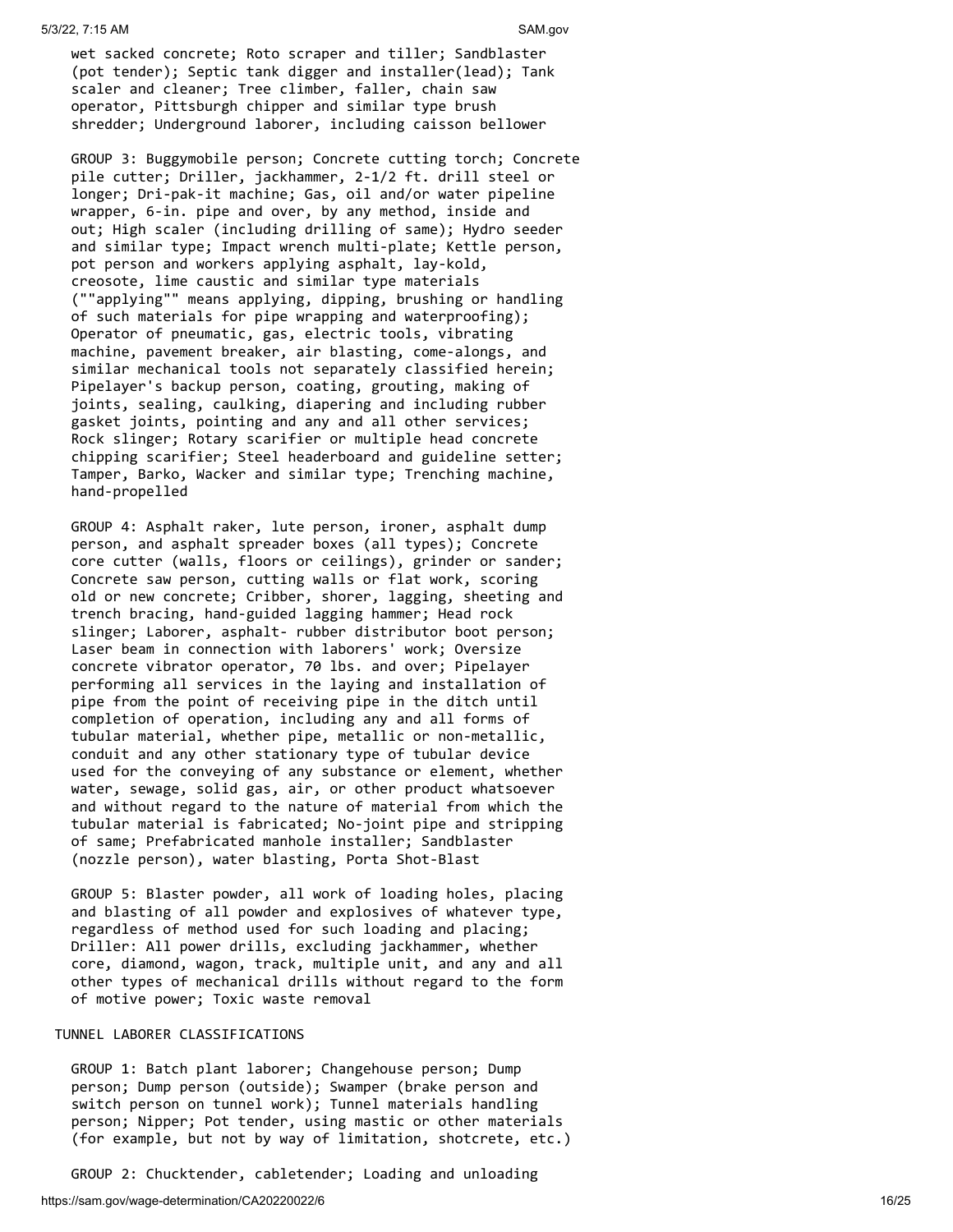wet sacked concrete; Roto scraper and tiller; Sandblaster (pot tender); Septic tank digger and installer(lead); Tank scaler and cleaner; Tree climber, faller, chain saw operator, Pittsburgh chipper and similar type brush shredder; Underground laborer, including caisson bellower

 GROUP 3: Buggymobile person; Concrete cutting torch; Concrete pile cutter; Driller, jackhammer, 2-1/2 ft. drill steel or longer; Dri-pak-it machine; Gas, oil and/or water pipeline wrapper, 6-in. pipe and over, by any method, inside and out; High scaler (including drilling of same); Hydro seeder and similar type; Impact wrench multi-plate; Kettle person, pot person and workers applying asphalt, lay-kold, creosote, lime caustic and similar type materials (""applying"" means applying, dipping, brushing or handling of such materials for pipe wrapping and waterproofing); Operator of pneumatic, gas, electric tools, vibrating machine, pavement breaker, air blasting, come-alongs, and similar mechanical tools not separately classified herein; Pipelayer's backup person, coating, grouting, making of joints, sealing, caulking, diapering and including rubber gasket joints, pointing and any and all other services; Rock slinger; Rotary scarifier or multiple head concrete chipping scarifier; Steel headerboard and guideline setter; Tamper, Barko, Wacker and similar type; Trenching machine, hand-propelled

 GROUP 4: Asphalt raker, lute person, ironer, asphalt dump person, and asphalt spreader boxes (all types); Concrete core cutter (walls, floors or ceilings), grinder or sander; Concrete saw person, cutting walls or flat work, scoring old or new concrete; Cribber, shorer, lagging, sheeting and trench bracing, hand-guided lagging hammer; Head rock slinger; Laborer, asphalt- rubber distributor boot person; Laser beam in connection with laborers' work; Oversize concrete vibrator operator, 70 lbs. and over; Pipelayer performing all services in the laying and installation of pipe from the point of receiving pipe in the ditch until completion of operation, including any and all forms of tubular material, whether pipe, metallic or non-metallic, conduit and any other stationary type of tubular device used for the conveying of any substance or element, whether water, sewage, solid gas, air, or other product whatsoever and without regard to the nature of material from which the tubular material is fabricated; No-joint pipe and stripping of same; Prefabricated manhole installer; Sandblaster (nozzle person), water blasting, Porta Shot-Blast

 GROUP 5: Blaster powder, all work of loading holes, placing and blasting of all powder and explosives of whatever type, regardless of method used for such loading and placing; Driller: All power drills, excluding jackhammer, whether core, diamond, wagon, track, multiple unit, and any and all other types of mechanical drills without regard to the form of motive power; Toxic waste removal

#### TUNNEL LABORER CLASSIFICATIONS

 GROUP 1: Batch plant laborer; Changehouse person; Dump person; Dump person (outside); Swamper (brake person and switch person on tunnel work); Tunnel materials handling person; Nipper; Pot tender, using mastic or other materials (for example, but not by way of limitation, shotcrete, etc.)

GROUP 2: Chucktender, cabletender; Loading and unloading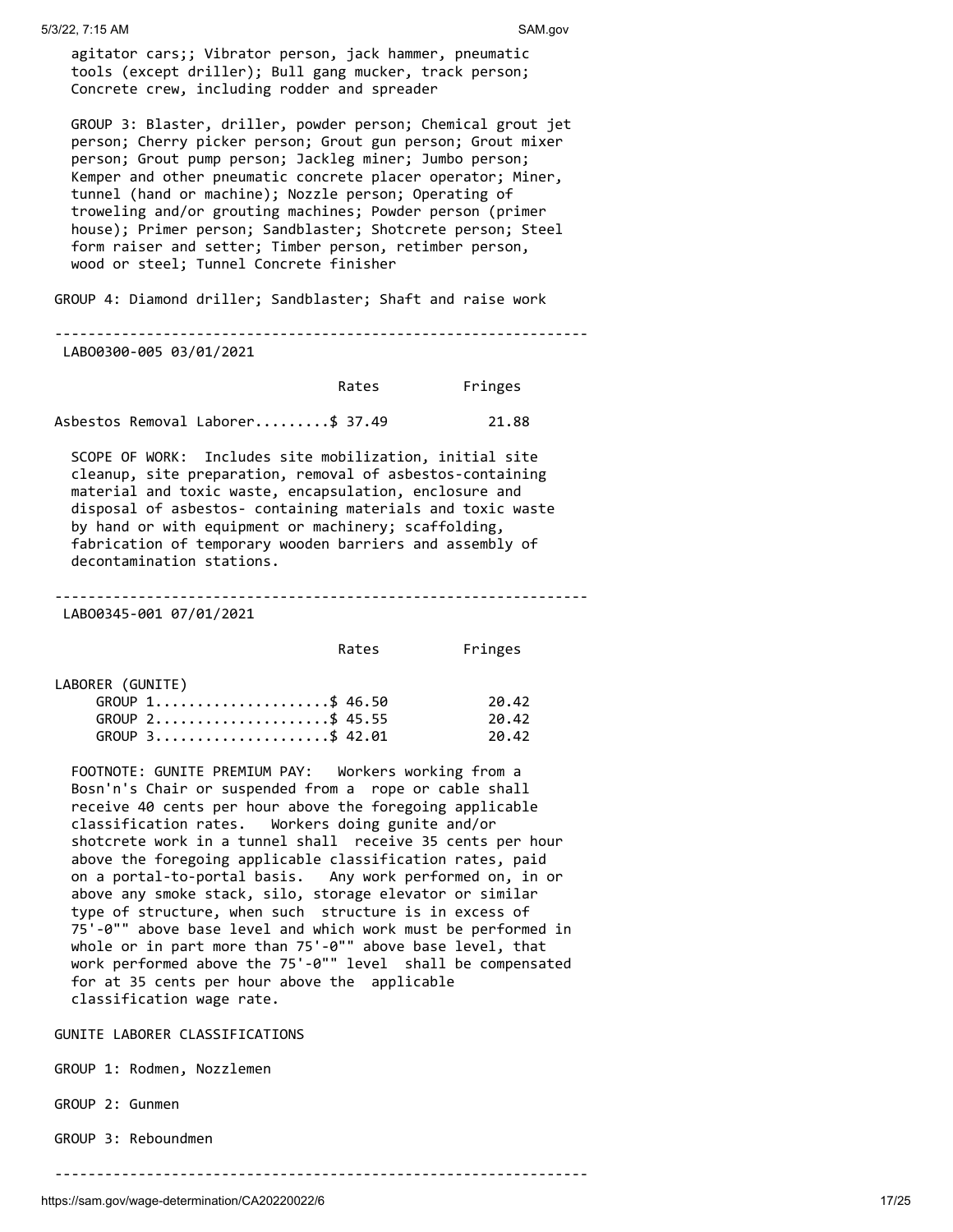agitator cars;; Vibrator person, jack hammer, pneumatic tools (except driller); Bull gang mucker, track person; Concrete crew, including rodder and spreader

 GROUP 3: Blaster, driller, powder person; Chemical grout jet person; Cherry picker person; Grout gun person; Grout mixer person; Grout pump person; Jackleg miner; Jumbo person; Kemper and other pneumatic concrete placer operator; Miner, tunnel (hand or machine); Nozzle person; Operating of troweling and/or grouting machines; Powder person (primer house); Primer person; Sandblaster; Shotcrete person; Steel form raiser and setter; Timber person, retimber person, wood or steel; Tunnel Concrete finisher

GROUP 4: Diamond driller; Sandblaster; Shaft and raise work

## ---------------------------------------------------------------- LABO0300-005 03/01/2021

 Rates Fringes Asbestos Removal Laborer.........\$ 37.49 21.88

 SCOPE OF WORK: Includes site mobilization, initial site cleanup, site preparation, removal of asbestos-containing material and toxic waste, encapsulation, enclosure and disposal of asbestos- containing materials and toxic waste by hand or with equipment or machinery; scaffolding, fabrication of temporary wooden barriers and assembly of decontamination stations.

## ----------------------------------------------------------------

LABO0345-001 07/01/2021

Rates Fringes

| LABORER (GUNITE) |                 |       |
|------------------|-----------------|-------|
|                  | GROUP 1\$ 46.50 | 20.42 |
|                  | GROUP 2\$ 45.55 | 20.42 |
|                  | GROUP 3\$ 42.01 | 20.42 |

 FOOTNOTE: GUNITE PREMIUM PAY: Workers working from a Bosn'n's Chair or suspended from a rope or cable shall receive 40 cents per hour above the foregoing applicable classification rates. Workers doing gunite and/or shotcrete work in a tunnel shall receive 35 cents per hour above the foregoing applicable classification rates, paid on a portal-to-portal basis. Any work performed on, in or above any smoke stack, silo, storage elevator or similar type of structure, when such structure is in excess of 75'-0"" above base level and which work must be performed in whole or in part more than 75'-0"" above base level, that work performed above the 75'-0"" level shall be compensated for at 35 cents per hour above the applicable classification wage rate.

GUNITE LABORER CLASSIFICATIONS

GROUP 1: Rodmen, Nozzlemen

GROUP 2: Gunmen

GROUP 3: Reboundmen

----------------------------------------------------------------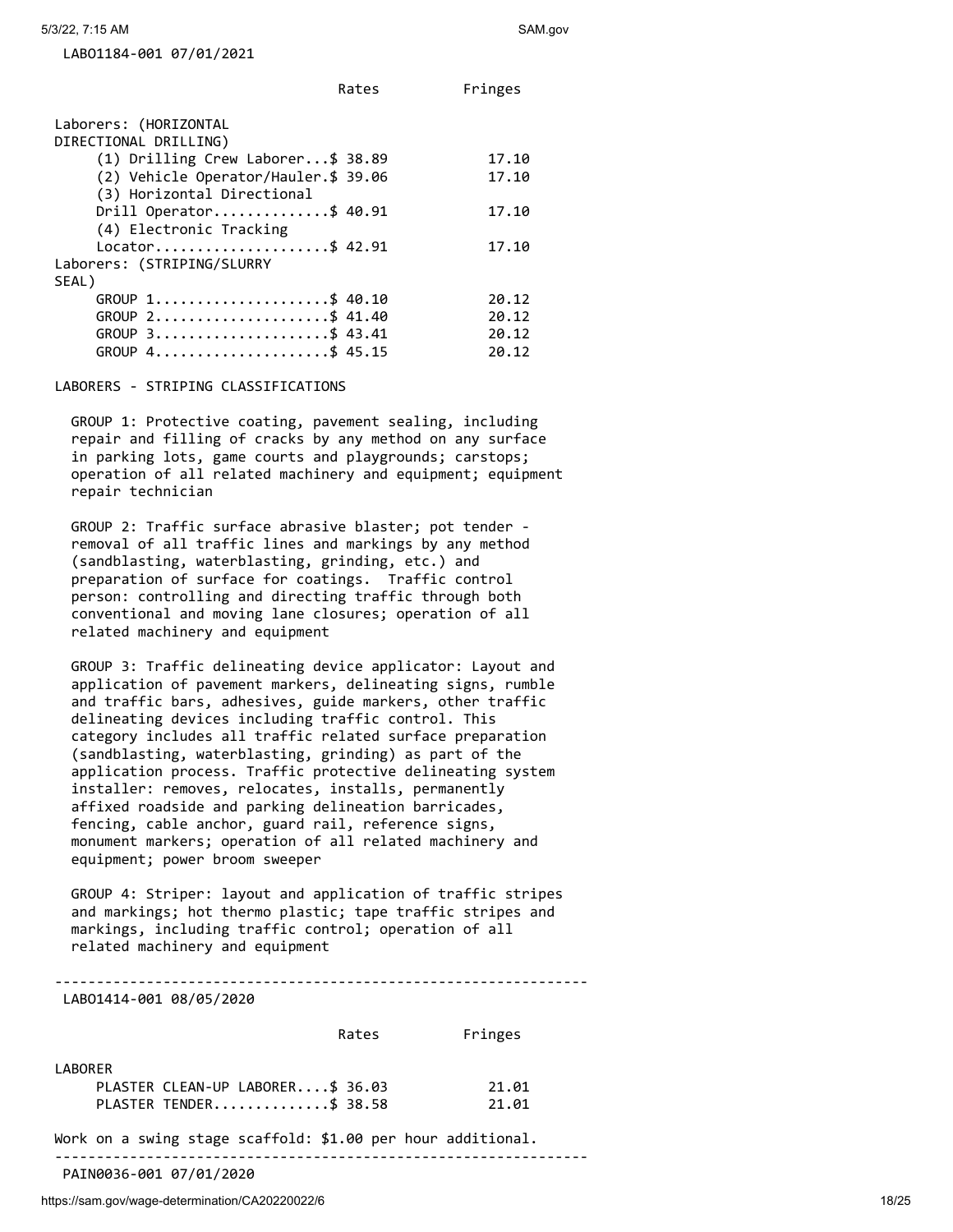LABO1184-001 07/01/2021

|                                                   | Rates | Fringes |
|---------------------------------------------------|-------|---------|
| Laborers: (HORIZONTAL                             |       |         |
| DIRECTIONAL DRILLING)                             |       |         |
| $(1)$ Drilling Crew Laborer\$ 38.89               |       | 17.10   |
| (2) Vehicle Operator/Hauler.\$ 39.06              |       | 17.10   |
| (3) Horizontal Directional                        |       |         |
| Drill Operator\$ 40.91<br>(4) Electronic Tracking |       | 17.10   |
| Locator\$ 42.91                                   |       | 17.10   |
| Laborers: (STRIPING/SLURRY                        |       |         |
| SEAL)                                             |       |         |
| GROUP 1\$ 40.10                                   |       | 20.12   |
| GROUP 2\$ 41.40                                   |       | 20.12   |
| $GROUP$ 3\$ 43.41                                 |       | 20.12   |
| GROUP 4\$ 45.15                                   |       | 20.12   |

## LABORERS - STRIPING CLASSIFICATIONS

 GROUP 1: Protective coating, pavement sealing, including repair and filling of cracks by any method on any surface in parking lots, game courts and playgrounds; carstops; operation of all related machinery and equipment; equipment repair technician

 GROUP 2: Traffic surface abrasive blaster; pot tender removal of all traffic lines and markings by any method (sandblasting, waterblasting, grinding, etc.) and preparation of surface for coatings. Traffic control person: controlling and directing traffic through both conventional and moving lane closures; operation of all related machinery and equipment

 GROUP 3: Traffic delineating device applicator: Layout and application of pavement markers, delineating signs, rumble and traffic bars, adhesives, guide markers, other traffic delineating devices including traffic control. This category includes all traffic related surface preparation (sandblasting, waterblasting, grinding) as part of the application process. Traffic protective delineating system installer: removes, relocates, installs, permanently affixed roadside and parking delineation barricades, fencing, cable anchor, guard rail, reference signs, monument markers; operation of all related machinery and equipment; power broom sweeper

 GROUP 4: Striper: layout and application of traffic stripes and markings; hot thermo plastic; tape traffic stripes and markings, including traffic control; operation of all related machinery and equipment

----------------------------------------------------------------

## LABO1414-001 08/05/2020

|                                  | Rates | Fringes |
|----------------------------------|-------|---------|
| LABORER                          |       |         |
| PLASTER CLEAN-UP LABORER\$ 36.03 |       | 21.01   |
| PLASTER TENDER\$ 38.58           |       | 21.01   |

Work on a swing stage scaffold: \$1.00 per hour additional.

----------------------------------------------------------------

PAIN0036-001 07/01/2020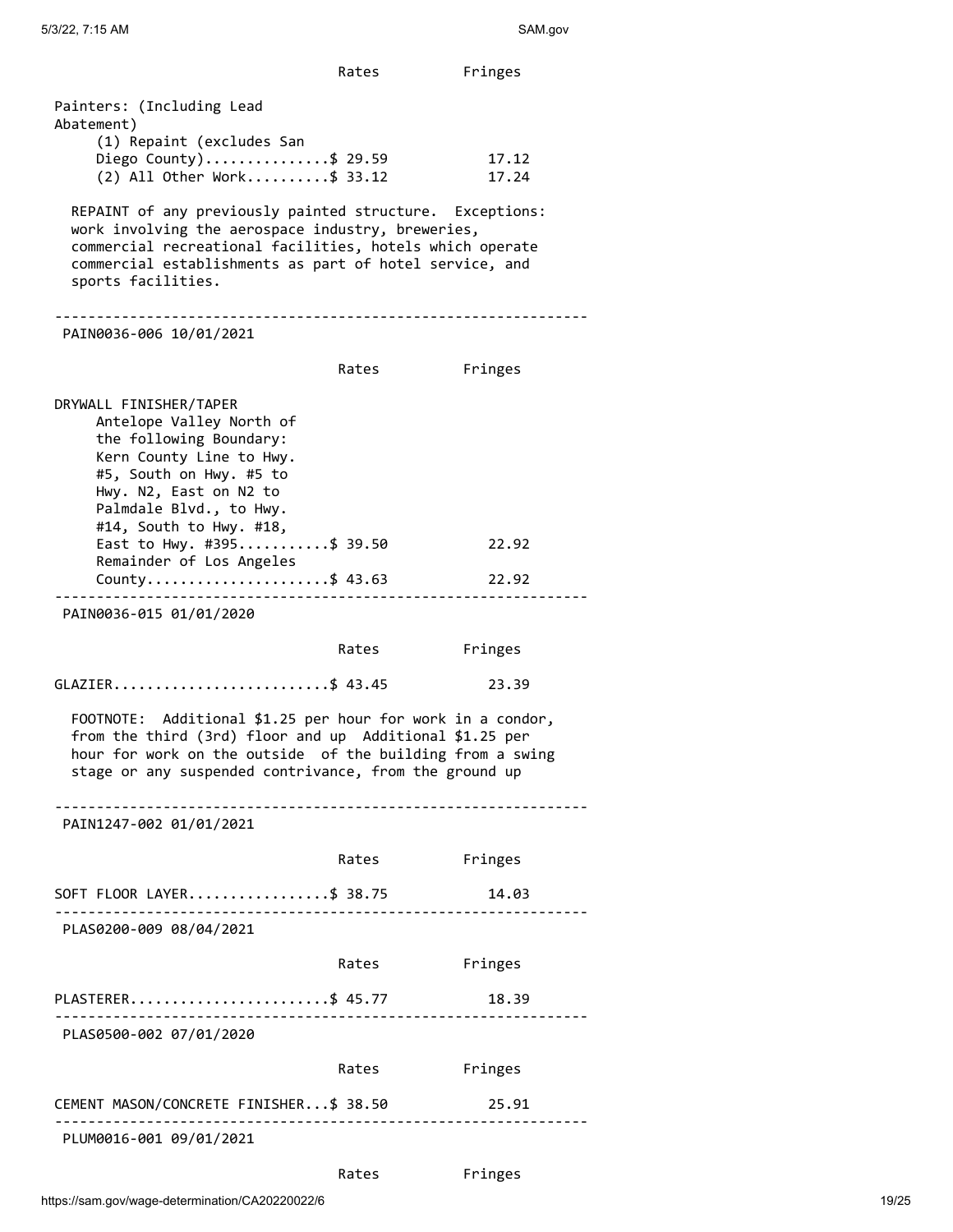|                                                                                                                                                                                                                                                            | Rates                                 | Fringes |
|------------------------------------------------------------------------------------------------------------------------------------------------------------------------------------------------------------------------------------------------------------|---------------------------------------|---------|
| Painters: (Including Lead<br>Abatement)                                                                                                                                                                                                                    |                                       |         |
| (1) Repaint (excludes San                                                                                                                                                                                                                                  |                                       |         |
| Diego County)\$ 29.59                                                                                                                                                                                                                                      |                                       | 17.12   |
| $(2)$ All Other Work\$ 33.12                                                                                                                                                                                                                               |                                       | 17.24   |
| REPAINT of any previously painted structure. Exceptions:<br>work involving the aerospace industry, breweries,<br>commercial recreational facilities, hotels which operate<br>commercial establishments as part of hotel service, and<br>sports facilities. |                                       |         |
| PAIN0036-006 10/01/2021                                                                                                                                                                                                                                    | ------------------------------------- |         |
|                                                                                                                                                                                                                                                            | Rates                                 | Fringes |
| DRYWALL FINISHER/TAPER<br>Antelope Valley North of<br>the following Boundary:<br>Kern County Line to Hwy.<br>#5, South on Hwy. #5 to<br>Hwy. N2, East on N2 to<br>Palmdale Blvd., to Hwy.<br>#14, South to Hwy. #18,                                       |                                       |         |
| East to Hwy. #395\$ 39.50                                                                                                                                                                                                                                  |                                       | 22.92   |
| Remainder of Los Angeles<br>County\$ 43.63                                                                                                                                                                                                                 |                                       | 22.92   |
| PAIN0036-015 01/01/2020                                                                                                                                                                                                                                    |                                       |         |
|                                                                                                                                                                                                                                                            | Rates                                 | Fringes |
|                                                                                                                                                                                                                                                            |                                       |         |
| GLAZIER\$ 43.45                                                                                                                                                                                                                                            |                                       | 23.39   |
| FOOTNOTE: Additional \$1.25 per hour for work in a condor,<br>from the third (3rd) floor and up Additional \$1.25 per<br>hour for work on the outside of the building from a swing<br>stage or any suspended contrivance, from the ground up               |                                       |         |
| PAIN1247-002 01/01/2021                                                                                                                                                                                                                                    |                                       |         |
|                                                                                                                                                                                                                                                            |                                       |         |
|                                                                                                                                                                                                                                                            | Rates                                 | Fringes |
| SOFT FLOOR LAYER\$ 38.75                                                                                                                                                                                                                                   |                                       | 14.03   |
| PLAS0200-009 08/04/2021                                                                                                                                                                                                                                    |                                       |         |
|                                                                                                                                                                                                                                                            |                                       |         |
|                                                                                                                                                                                                                                                            | Rates                                 | Fringes |
| PLASTERER\$ 45.77                                                                                                                                                                                                                                          |                                       | 18.39   |
| PLAS0500-002 07/01/2020                                                                                                                                                                                                                                    |                                       |         |
|                                                                                                                                                                                                                                                            | Rates                                 | Fringes |
| CEMENT MASON/CONCRETE FINISHER\$ 38.50                                                                                                                                                                                                                     |                                       | 25.91   |
| PLUM0016-001 09/01/2021                                                                                                                                                                                                                                    |                                       |         |
|                                                                                                                                                                                                                                                            |                                       |         |
|                                                                                                                                                                                                                                                            | Rates                                 | Fringes |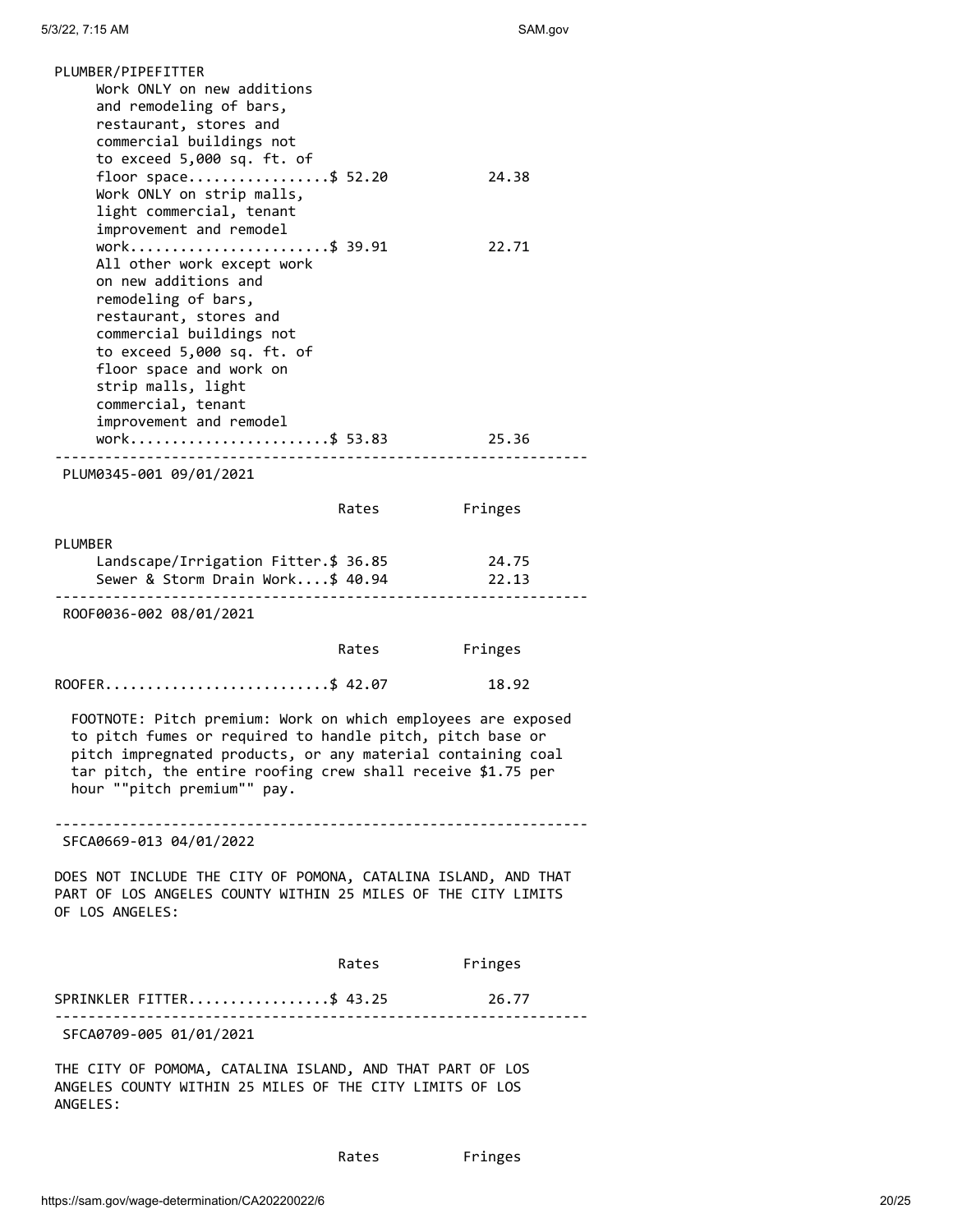| PLUMBER/PIPEFITTER<br>Work ONLY on new additions<br>and remodeling of bars,<br>restaurant, stores and<br>commercial buildings not<br>to exceed 5,000 sq. ft. of                                                                                                                                       |       |                |
|-------------------------------------------------------------------------------------------------------------------------------------------------------------------------------------------------------------------------------------------------------------------------------------------------------|-------|----------------|
| floor space\$ 52.20<br>Work ONLY on strip malls,<br>light commercial, tenant<br>improvement and remodel                                                                                                                                                                                               |       | 24.38          |
| work\$ 39.91<br>All other work except work<br>on new additions and<br>remodeling of bars,<br>restaurant, stores and<br>commercial buildings not<br>to exceed 5,000 sq. ft. of<br>floor space and work on<br>strip malls, light<br>commercial, tenant<br>improvement and remodel<br>work\$ 53.83 25.36 |       | 22.71          |
| PLUM0345-001 09/01/2021                                                                                                                                                                                                                                                                               |       |                |
|                                                                                                                                                                                                                                                                                                       | Rates | Fringes        |
|                                                                                                                                                                                                                                                                                                       |       |                |
| <b>PLUMBER</b><br>Landscape/Irrigation Fitter.\$ 36.85<br>Sewer & Storm Drain Work\$ 40.94                                                                                                                                                                                                            |       | 24.75<br>22.13 |
| ROOF0036-002 08/01/2021                                                                                                                                                                                                                                                                               |       |                |
|                                                                                                                                                                                                                                                                                                       | Rates | Fringes        |
| ROOFER\$ 42.07                                                                                                                                                                                                                                                                                        |       | 18.92          |
| FOOTNOTE: Pitch premium: Work on which employees are exposed<br>to pitch fumes or required to handle pitch, pitch base or<br>pitch impregnated products, or any material containing coal<br>tar pitch, the entire roofing crew shall receive \$1.75 per<br>hour ""pitch premium"" pay.                |       |                |
| SFCA0669-013 04/01/2022                                                                                                                                                                                                                                                                               |       |                |
| DOES NOT INCLUDE THE CITY OF POMONA, CATALINA ISLAND, AND THAT<br>PART OF LOS ANGELES COUNTY WITHIN 25 MILES OF THE CITY LIMITS<br>OF LOS ANGELES:                                                                                                                                                    |       |                |
|                                                                                                                                                                                                                                                                                                       | Rates | Fringes        |
| SPRINKLER FITTER\$ 43.25                                                                                                                                                                                                                                                                              |       | 26.77          |
| .<br>SFCA0709-005 01/01/2021                                                                                                                                                                                                                                                                          | .     |                |
| THE CITY OF POMOMA, CATALINA ISLAND, AND THAT PART OF LOS<br>ANGELES COUNTY WITHIN 25 MILES OF THE CITY LIMITS OF LOS<br>ANGELES:                                                                                                                                                                     |       |                |

Rates Fringes

https://sam.gov/wage-determination/CA20220022/6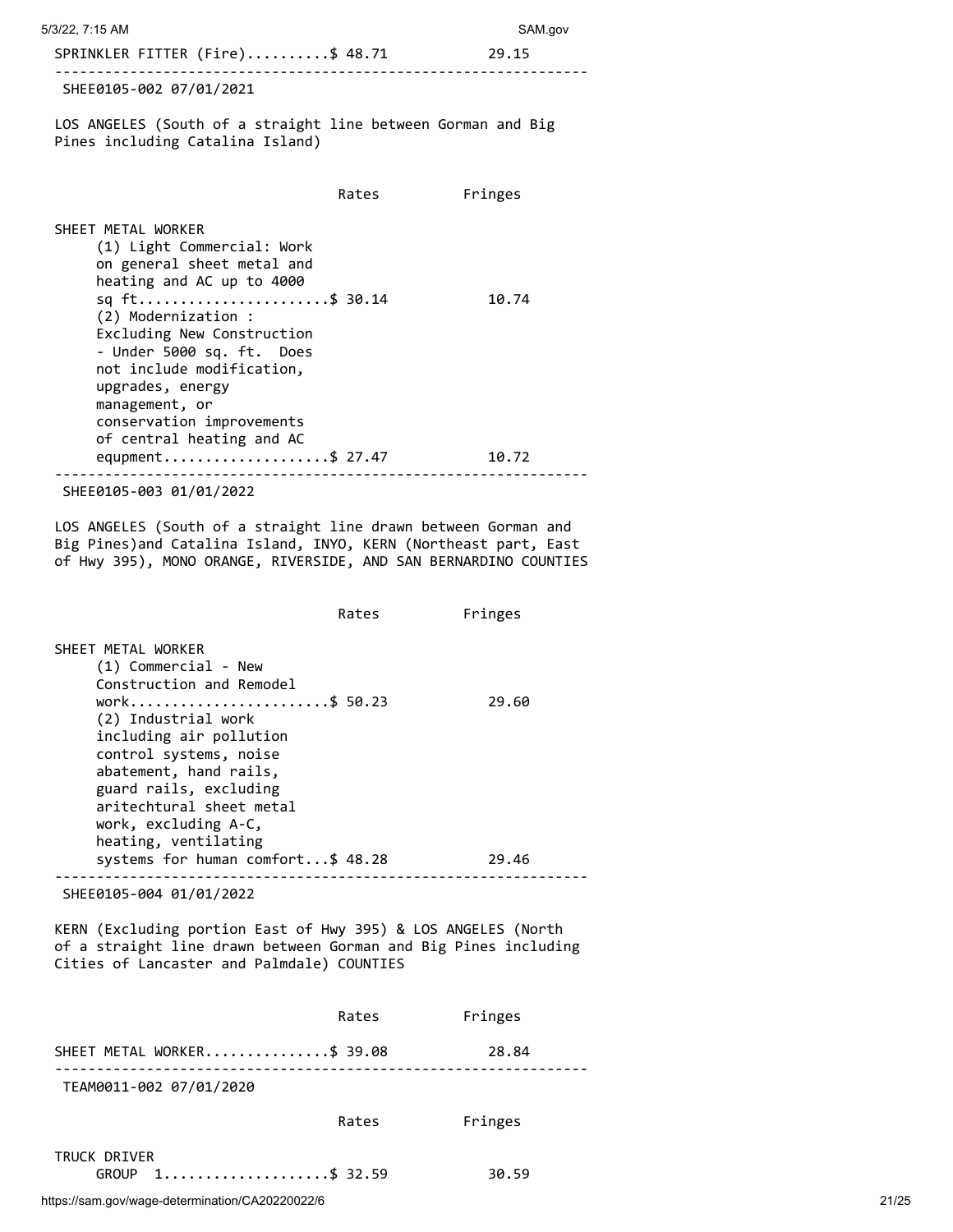5/3/22, 7:15 AM SAM.gov

|  | SPRINKLER FITTER (Fire)\$ 48.71 |  | 29.15 |
|--|---------------------------------|--|-------|
|  |                                 |  |       |

SHEE0105-002 07/01/2021

LOS ANGELES (South of a straight line between Gorman and Big Pines including Catalina Island)

https://sam.gov/wage-determination/CA20220022/6 21/25 Rates Fringes SHEET METAL WORKER (1) Light Commercial: Work on general sheet metal and heating and AC up to 4000 sq ft.........................\$ 30.14 10.74 (2) Modernization : Excluding New Construction - Under 5000 sq. ft. Does not include modification, upgrades, energy management, or conservation improvements of central heating and AC equpment.......................\$ 27.47 10.72 ---------------------------------------------------------------- SHEE0105-003 01/01/2022 LOS ANGELES (South of a straight line drawn between Gorman and Big Pines)and Catalina Island, INYO, KERN (Northeast part, East of Hwy 395), MONO ORANGE, RIVERSIDE, AND SAN BERNARDINO COUNTIES Rates Fringes SHEET METAL WORKER (1) Commercial - New Construction and Remodel work........................\$ 50.23 29.60 (2) Industrial work including air pollution control systems, noise abatement, hand rails, guard rails, excluding aritechtural sheet metal work, excluding A-C, heating, ventilating systems for human comfort...\$ 48.28 29.46 ---------------------------------------------------------------- SHEE0105-004 01/01/2022 KERN (Excluding portion East of Hwy 395) & LOS ANGELES (North of a straight line drawn between Gorman and Big Pines including Cities of Lancaster and Palmdale) COUNTIES Rates Fringes SHEET METAL WORKER................\$ 39.08 28.84 ---------------------------------------------------------------- TEAM0011-002 07/01/2020 Rates Fringes TRUCK DRIVER GROUP 1.....................\$ 32.59 30.59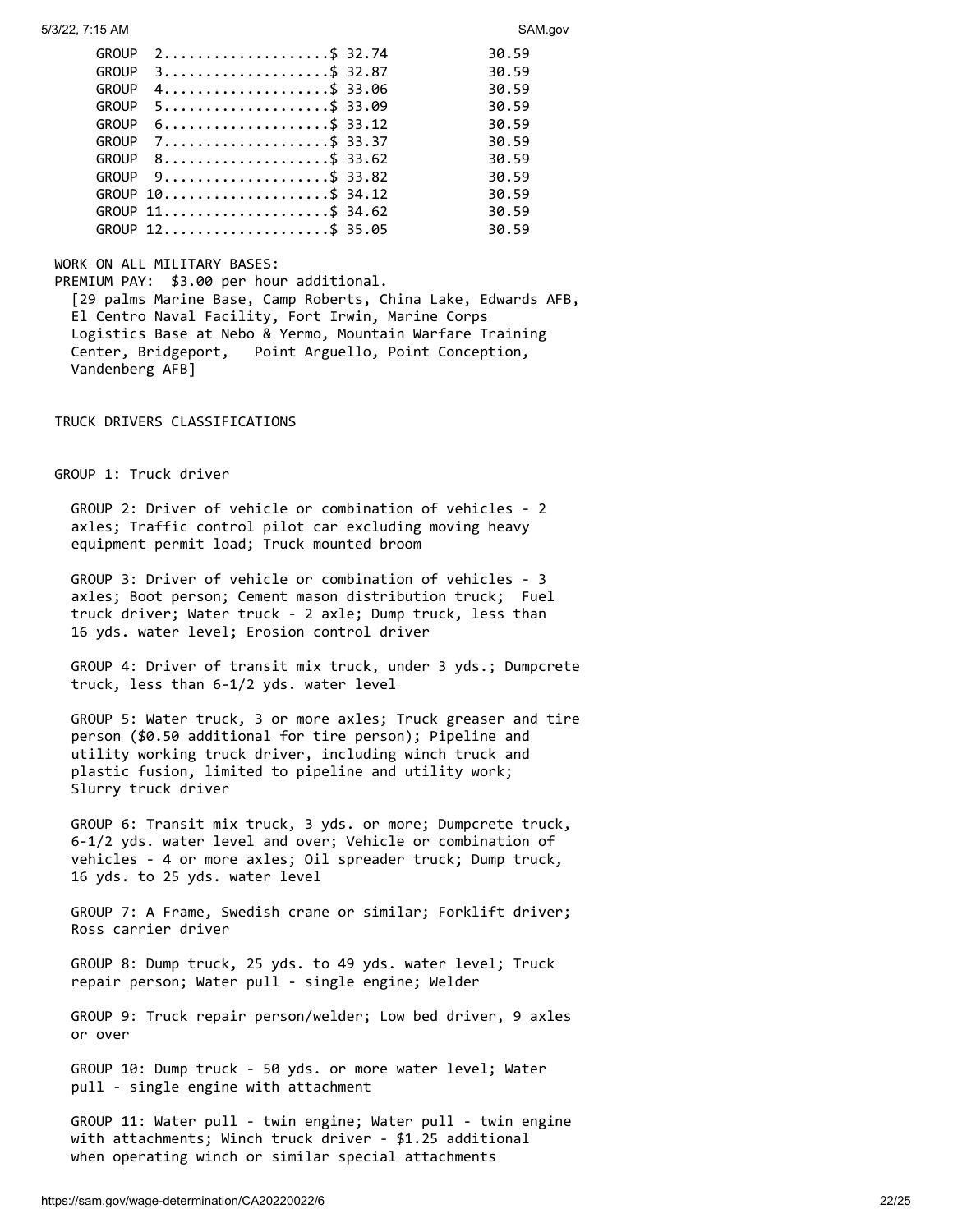| GROUP        |                  | 30.59 |
|--------------|------------------|-------|
| <b>GROUP</b> | $3$ \$ 32.87     | 30.59 |
| <b>GROUP</b> | 4                | 30.59 |
| GROUP        | $5$ \$ 33.09     | 30.59 |
| GROUP        | 6                | 30.59 |
| <b>GROUP</b> | $7$ \$ 33.37     | 30.59 |
| GROUP        | 8\$ 33.62        | 30.59 |
| GROUP        |                  | 30.59 |
|              | GROUP 10\$ 34.12 | 30.59 |
|              | GROUP 11\$ 34.62 | 30.59 |
|              | GROUP 12\$ 35.05 | 30.59 |

## WORK ON ALL MILITARY BASES:

PREMIUM PAY: \$3.00 per hour additional. [29 palms Marine Base, Camp Roberts, China Lake, Edwards AFB, El Centro Naval Facility, Fort Irwin, Marine Corps Logistics Base at Nebo & Yermo, Mountain Warfare Training Center, Bridgeport, Point Arguello, Point Conception, Vandenberg AFB]

TRUCK DRIVERS CLASSIFICATIONS

GROUP 1: Truck driver

 GROUP 2: Driver of vehicle or combination of vehicles - 2 axles; Traffic control pilot car excluding moving heavy equipment permit load; Truck mounted broom

 GROUP 3: Driver of vehicle or combination of vehicles - 3 axles; Boot person; Cement mason distribution truck; Fuel truck driver; Water truck - 2 axle; Dump truck, less than 16 yds. water level; Erosion control driver

 GROUP 4: Driver of transit mix truck, under 3 yds.; Dumpcrete truck, less than 6-1/2 yds. water level

 GROUP 5: Water truck, 3 or more axles; Truck greaser and tire person (\$0.50 additional for tire person); Pipeline and utility working truck driver, including winch truck and plastic fusion, limited to pipeline and utility work; Slurry truck driver

 GROUP 6: Transit mix truck, 3 yds. or more; Dumpcrete truck, 6-1/2 yds. water level and over; Vehicle or combination of vehicles - 4 or more axles; Oil spreader truck; Dump truck, 16 yds. to 25 yds. water level

 GROUP 7: A Frame, Swedish crane or similar; Forklift driver; Ross carrier driver

 GROUP 8: Dump truck, 25 yds. to 49 yds. water level; Truck repair person; Water pull - single engine; Welder

 GROUP 9: Truck repair person/welder; Low bed driver, 9 axles or over

 GROUP 10: Dump truck - 50 yds. or more water level; Water pull - single engine with attachment

 GROUP 11: Water pull - twin engine; Water pull - twin engine with attachments; Winch truck driver - \$1.25 additional when operating winch or similar special attachments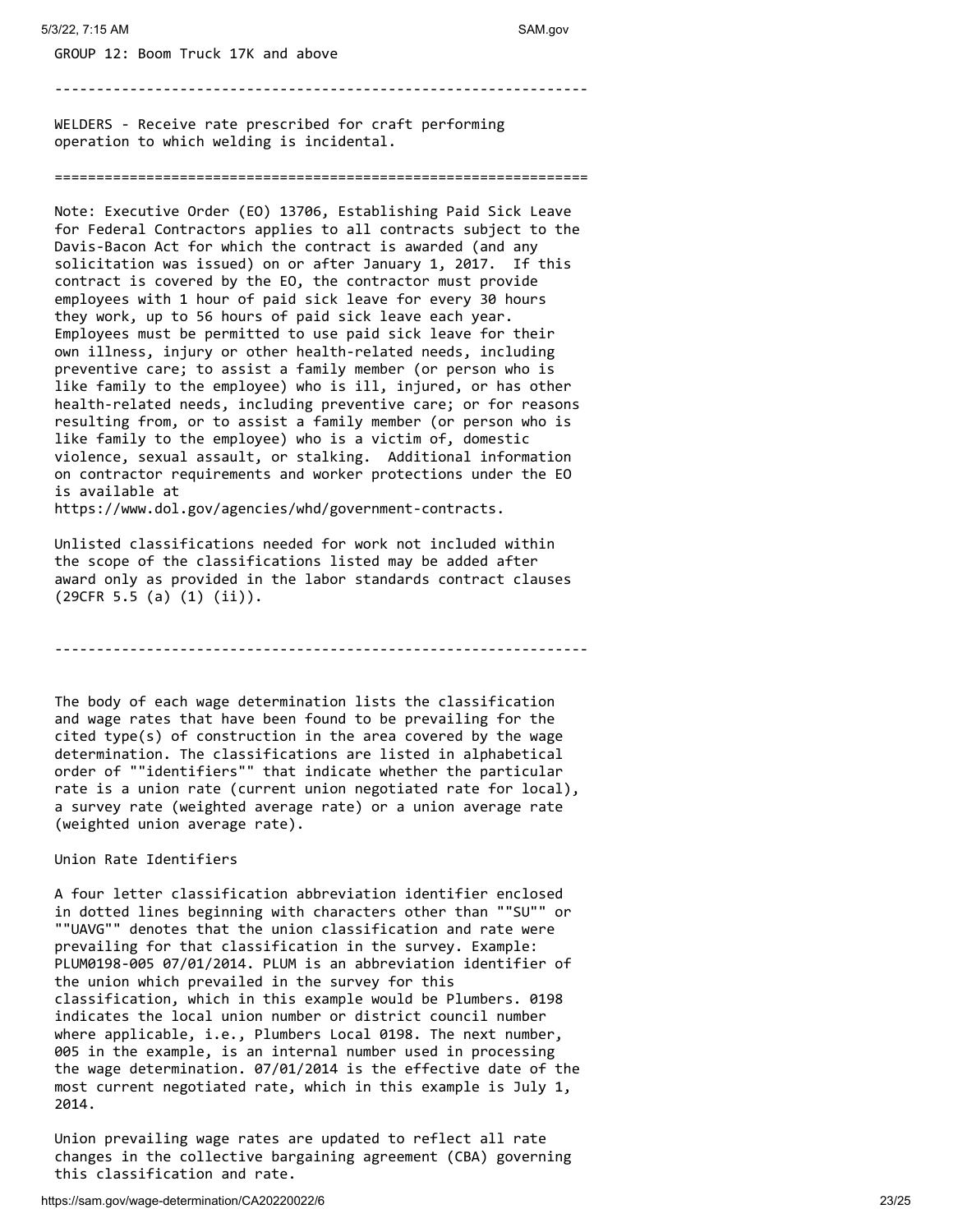GROUP 12: Boom Truck 17K and above

----------------------------------------------------------------

WELDERS - Receive rate prescribed for craft performing operation to which welding is incidental.

#### ================================================================

Note: Executive Order (EO) 13706, Establishing Paid Sick Leave for Federal Contractors applies to all contracts subject to the Davis-Bacon Act for which the contract is awarded (and any solicitation was issued) on or after January 1, 2017. If this contract is covered by the EO, the contractor must provide employees with 1 hour of paid sick leave for every 30 hours they work, up to 56 hours of paid sick leave each year. Employees must be permitted to use paid sick leave for their own illness, injury or other health-related needs, including preventive care; to assist a family member (or person who is like family to the employee) who is ill, injured, or has other health-related needs, including preventive care; or for reasons resulting from, or to assist a family member (or person who is like family to the employee) who is a victim of, domestic violence, sexual assault, or stalking. Additional information on contractor requirements and worker protections under the EO is available at

https://www.dol.gov/agencies/whd/government-contracts.

Unlisted classifications needed for work not included within the scope of the classifications listed may be added after award only as provided in the labor standards contract clauses (29CFR 5.5 (a) (1) (ii)).

----------------------------------------------------------------

The body of each wage determination lists the classification and wage rates that have been found to be prevailing for the cited type(s) of construction in the area covered by the wage determination. The classifications are listed in alphabetical order of ""identifiers"" that indicate whether the particular rate is a union rate (current union negotiated rate for local), a survey rate (weighted average rate) or a union average rate (weighted union average rate).

## Union Rate Identifiers

A four letter classification abbreviation identifier enclosed in dotted lines beginning with characters other than ""SU"" or ""UAVG"" denotes that the union classification and rate were prevailing for that classification in the survey. Example: PLUM0198-005 07/01/2014. PLUM is an abbreviation identifier of the union which prevailed in the survey for this classification, which in this example would be Plumbers. 0198 indicates the local union number or district council number where applicable, i.e., Plumbers Local 0198. The next number, 005 in the example, is an internal number used in processing the wage determination. 07/01/2014 is the effective date of the most current negotiated rate, which in this example is July 1, 2014.

Union prevailing wage rates are updated to reflect all rate changes in the collective bargaining agreement (CBA) governing this classification and rate.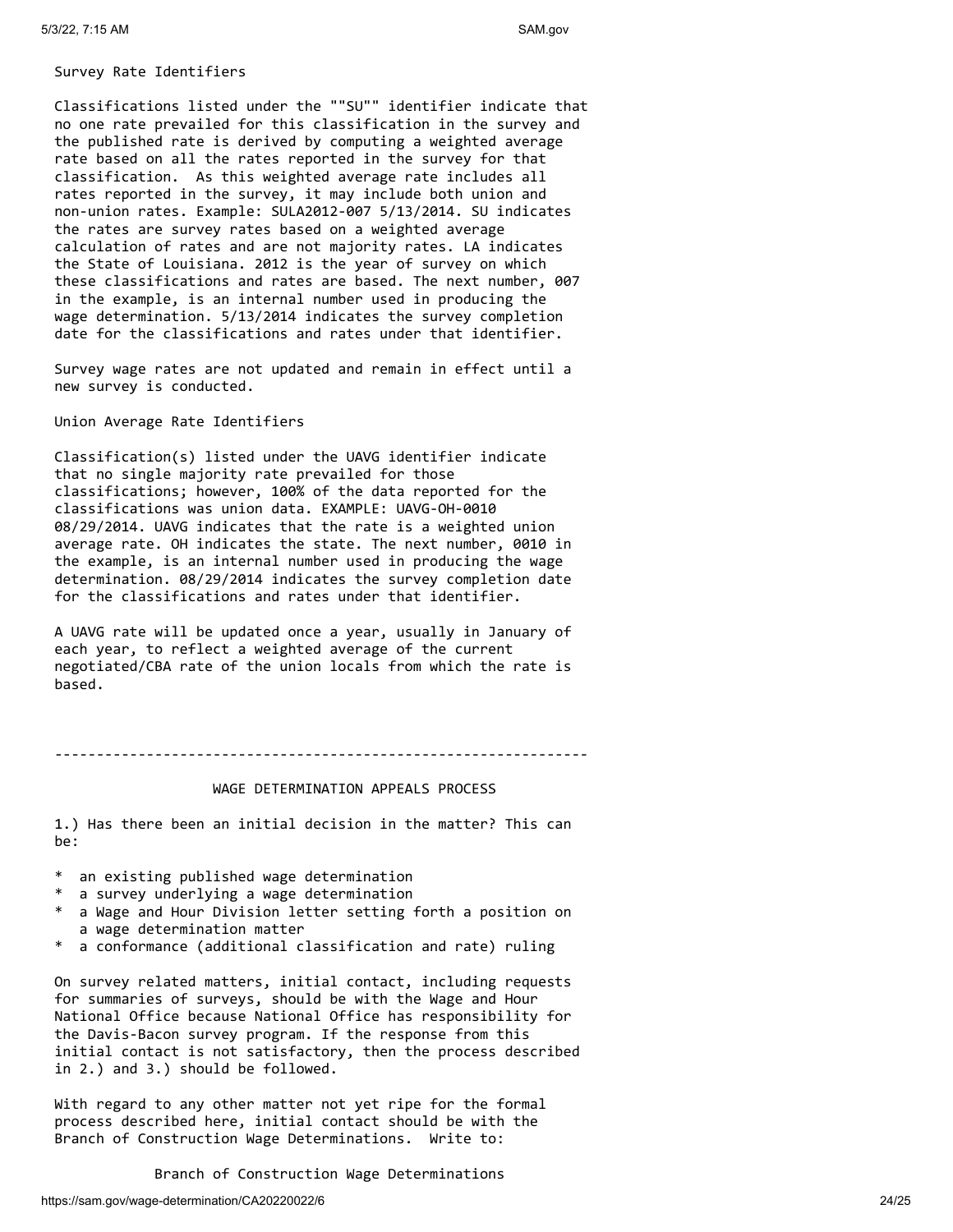#### Survey Rate Identifiers

Classifications listed under the ""SU"" identifier indicate that no one rate prevailed for this classification in the survey and the published rate is derived by computing a weighted average rate based on all the rates reported in the survey for that classification. As this weighted average rate includes all rates reported in the survey, it may include both union and non-union rates. Example: SULA2012-007 5/13/2014. SU indicates the rates are survey rates based on a weighted average calculation of rates and are not majority rates. LA indicates the State of Louisiana. 2012 is the year of survey on which these classifications and rates are based. The next number, 007 in the example, is an internal number used in producing the wage determination. 5/13/2014 indicates the survey completion date for the classifications and rates under that identifier.

Survey wage rates are not updated and remain in effect until a new survey is conducted.

Union Average Rate Identifiers

Classification(s) listed under the UAVG identifier indicate that no single majority rate prevailed for those classifications; however, 100% of the data reported for the classifications was union data. EXAMPLE: UAVG-OH-0010 08/29/2014. UAVG indicates that the rate is a weighted union average rate. OH indicates the state. The next number, 0010 in the example, is an internal number used in producing the wage determination. 08/29/2014 indicates the survey completion date for the classifications and rates under that identifier.

A UAVG rate will be updated once a year, usually in January of each year, to reflect a weighted average of the current negotiated/CBA rate of the union locals from which the rate is based.

----------------------------------------------------------------

#### WAGE DETERMINATION APPEALS PROCESS

1.) Has there been an initial decision in the matter? This can be:

- \* an existing published wage determination
- \* a survey underlying a wage determination
- a Wage and Hour Division letter setting forth a position on a wage determination matter
- \* a conformance (additional classification and rate) ruling

On survey related matters, initial contact, including requests for summaries of surveys, should be with the Wage and Hour National Office because National Office has responsibility for the Davis-Bacon survey program. If the response from this initial contact is not satisfactory, then the process described in 2.) and 3.) should be followed.

With regard to any other matter not yet ripe for the formal process described here, initial contact should be with the Branch of Construction Wage Determinations. Write to:

Branch of Construction Wage Determinations